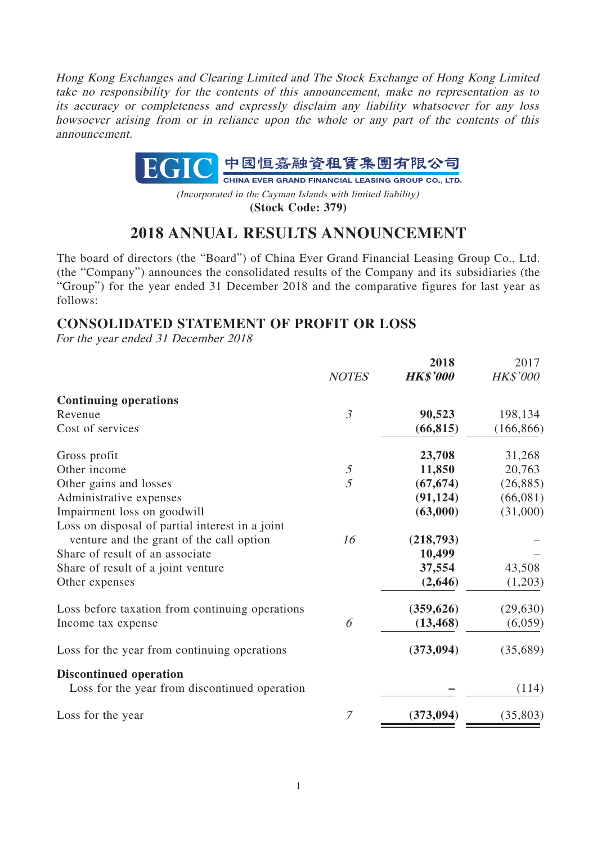Hong Kong Exchanges and Clearing Limited and The Stock Exchange of Hong Kong Limited take no responsibility for the contents of this announcement, make no representation as to its accuracy or completeness and expressly disclaim any liability whatsoever for any loss howsoever arising from or in reliance upon the whole or any part of the contents of this announcement.



(Incorporated in the Cayman Islands with limited liability) **(Stock Code: 379)**

# **2018 ANNUAL RESULTS ANNOUNCEMENT**

The board of directors (the "Board") of China Ever Grand Financial Leasing Group Co., Ltd. (the "Company") announces the consolidated results of the Company and its subsidiaries (the "Group") for the year ended 31 December 2018 and the comparative figures for last year as follows:

# **CONSOLIDATED STATEMENT OF PROFIT OR LOSS**

For the year ended 31 December 2018

|                                                 |                | 2018            | 2017       |
|-------------------------------------------------|----------------|-----------------|------------|
|                                                 | <b>NOTES</b>   | <b>HK\$'000</b> | HK\$'000   |
| <b>Continuing operations</b>                    |                |                 |            |
| Revenue                                         | $\mathfrak{Z}$ | 90,523          | 198,134    |
| Cost of services                                |                | (66, 815)       | (166, 866) |
| Gross profit                                    |                | 23,708          | 31,268     |
| Other income                                    | $\mathfrak{I}$ | 11,850          | 20,763     |
| Other gains and losses                          | $\overline{5}$ | (67, 674)       | (26, 885)  |
| Administrative expenses                         |                | (91, 124)       | (66,081)   |
| Impairment loss on goodwill                     |                | (63,000)        | (31,000)   |
| Loss on disposal of partial interest in a joint |                |                 |            |
| venture and the grant of the call option        | 16             | (218,793)       |            |
| Share of result of an associate                 |                | 10,499          |            |
| Share of result of a joint venture              |                | 37,554          | 43,508     |
| Other expenses                                  |                | (2,646)         | (1,203)    |
| Loss before taxation from continuing operations |                | (359, 626)      | (29, 630)  |
| Income tax expense                              | 6              | (13, 468)       | (6,059)    |
| Loss for the year from continuing operations    |                | (373, 094)      | (35,689)   |
| <b>Discontinued operation</b>                   |                |                 |            |
| Loss for the year from discontinued operation   |                |                 | (114)      |
| Loss for the year                               | 7              | (373, 094)      | (35,803)   |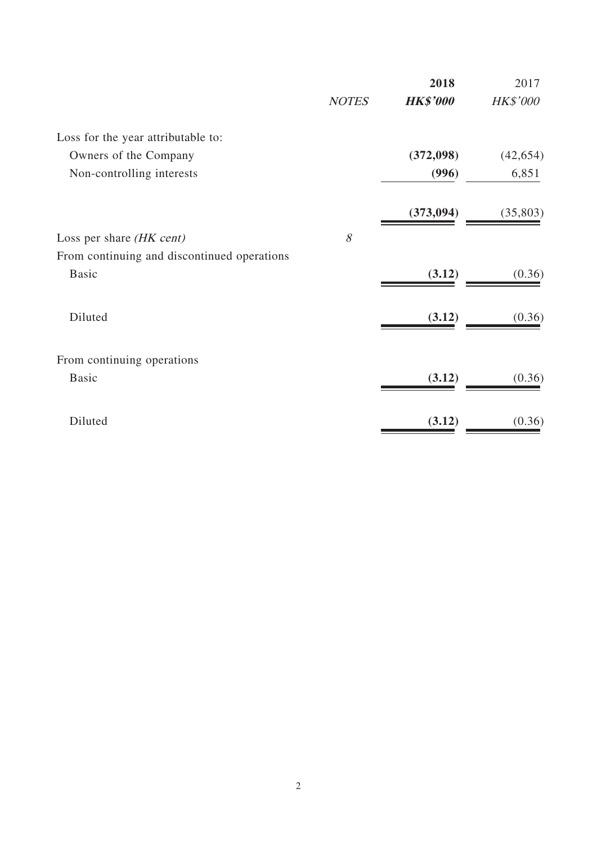|                                             |              | 2018            | 2017      |
|---------------------------------------------|--------------|-----------------|-----------|
|                                             | <b>NOTES</b> | <b>HK\$'000</b> | HK\$'000  |
| Loss for the year attributable to:          |              |                 |           |
| Owners of the Company                       |              | (372,098)       | (42, 654) |
| Non-controlling interests                   |              | (996)           | 6,851     |
|                                             |              | (373, 094)      | (35, 803) |
| Loss per share (HK cent)                    | 8            |                 |           |
| From continuing and discontinued operations |              |                 |           |
| <b>Basic</b>                                |              | (3.12)          | (0.36)    |
| Diluted                                     |              | (3.12)          | (0.36)    |
| From continuing operations                  |              |                 |           |
| <b>Basic</b>                                |              | (3.12)          | (0.36)    |
| Diluted                                     |              | (3.12)          | (0.36)    |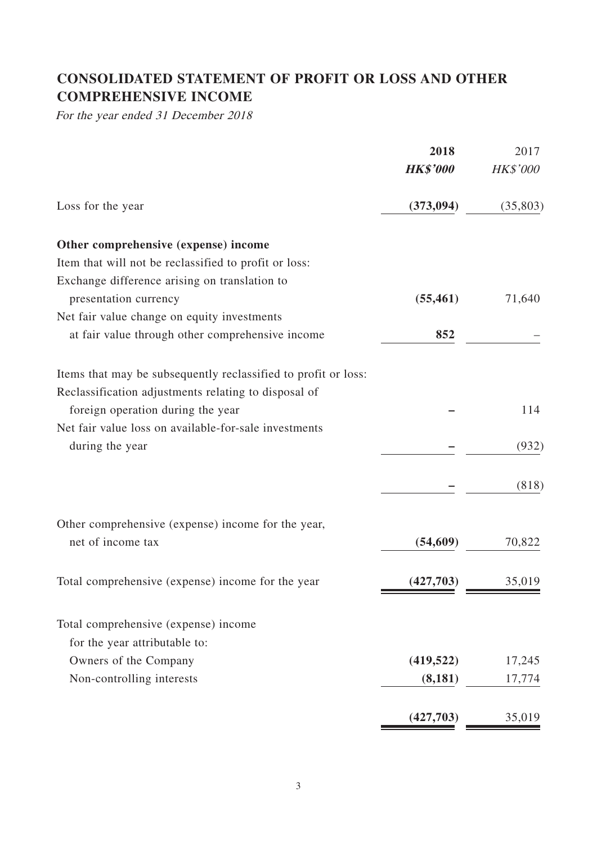# **CONSOLIDATED STATEMENT OF PROFIT OR LOSS AND OTHER COMPREHENSIVE INCOME**

For the year ended 31 December 2018

|                                                                | 2018            | 2017            |
|----------------------------------------------------------------|-----------------|-----------------|
|                                                                | <b>HK\$'000</b> | <b>HK\$'000</b> |
| Loss for the year                                              | (373, 094)      | (35,803)        |
| Other comprehensive (expense) income                           |                 |                 |
| Item that will not be reclassified to profit or loss:          |                 |                 |
| Exchange difference arising on translation to                  |                 |                 |
| presentation currency                                          | (55, 461)       | 71,640          |
| Net fair value change on equity investments                    |                 |                 |
| at fair value through other comprehensive income               | 852             |                 |
| Items that may be subsequently reclassified to profit or loss: |                 |                 |
| Reclassification adjustments relating to disposal of           |                 |                 |
| foreign operation during the year                              |                 | 114             |
| Net fair value loss on available-for-sale investments          |                 |                 |
| during the year                                                |                 | (932)           |
|                                                                |                 | (818)           |
| Other comprehensive (expense) income for the year,             |                 |                 |
| net of income tax                                              | (54, 609)       | 70,822          |
| Total comprehensive (expense) income for the year              | (427,703)       | 35,019          |
| Total comprehensive (expense) income                           |                 |                 |
| for the year attributable to:                                  |                 |                 |
| Owners of the Company                                          | (419, 522)      | 17,245          |
| Non-controlling interests                                      | (8,181)         | 17,774          |
|                                                                |                 |                 |
|                                                                | (427,703)       | 35,019          |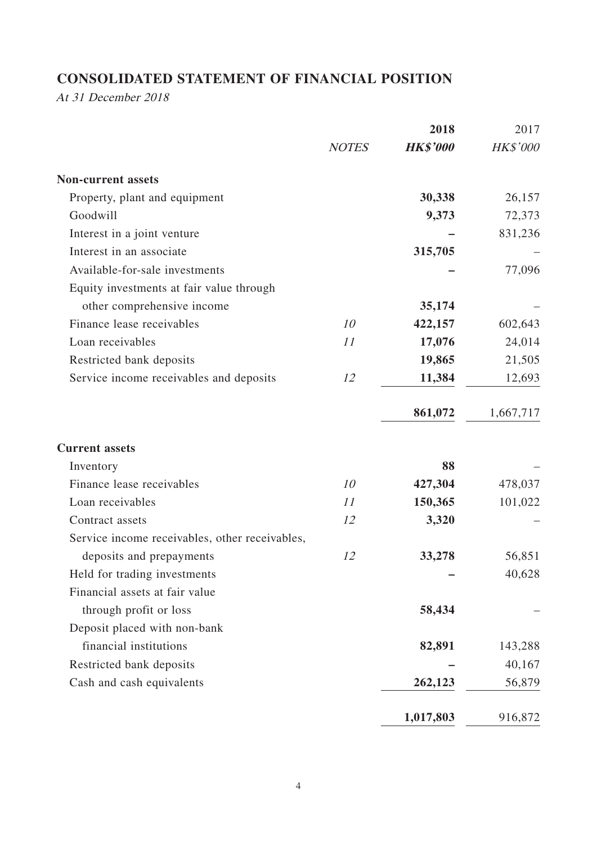# **CONSOLIDATED STATEMENT OF FINANCIAL POSITION**

At 31 December 2018

|              | 2018            | 2017            |
|--------------|-----------------|-----------------|
| <b>NOTES</b> | <b>HK\$'000</b> | <b>HK\$'000</b> |
|              |                 |                 |
|              | 30,338          | 26,157          |
|              | 9,373           | 72,373          |
|              |                 | 831,236         |
|              | 315,705         |                 |
|              |                 | 77,096          |
|              |                 |                 |
|              | 35,174          |                 |
| 10           | 422,157         | 602,643         |
| 11           | 17,076          | 24,014          |
|              | 19,865          | 21,505          |
| 12           | 11,384          | 12,693          |
|              | 861,072         | 1,667,717       |
|              |                 |                 |
|              | 88              |                 |
| 10           | 427,304         | 478,037         |
| 11           | 150,365         | 101,022         |
| 12           | 3,320           |                 |
|              |                 |                 |
| 12           | 33,278          | 56,851          |
|              |                 | 40,628          |
|              |                 |                 |
|              | 58,434          |                 |
|              |                 |                 |
|              | 82,891          | 143,288         |
|              |                 | 40,167          |
|              | 262,123         | 56,879          |
|              | 1,017,803       | 916,872         |
|              |                 |                 |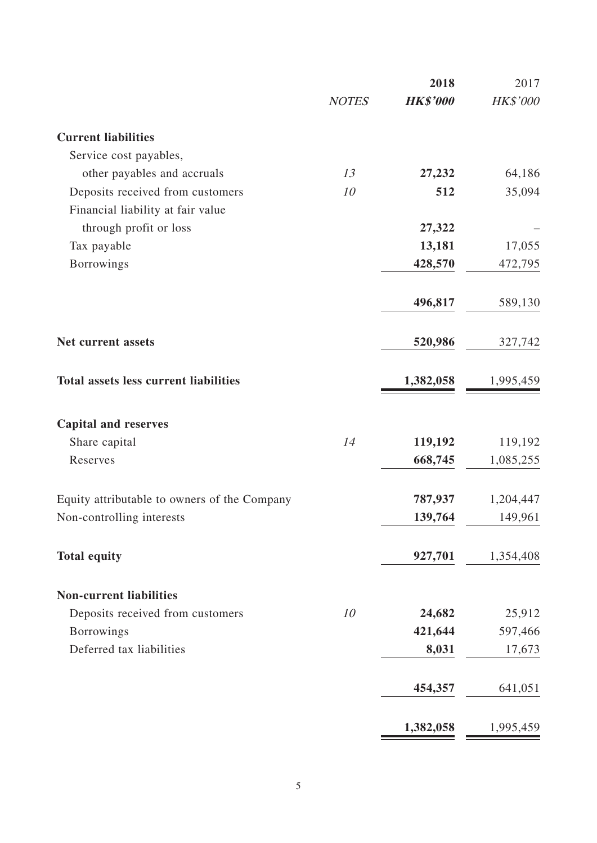|                                              |              | 2018            | 2017      |
|----------------------------------------------|--------------|-----------------|-----------|
|                                              | <b>NOTES</b> | <b>HK\$'000</b> | HK\$'000  |
| <b>Current liabilities</b>                   |              |                 |           |
| Service cost payables,                       |              |                 |           |
| other payables and accruals                  | 13           | 27,232          | 64,186    |
| Deposits received from customers             | 10           | 512             | 35,094    |
| Financial liability at fair value            |              |                 |           |
| through profit or loss                       |              | 27,322          |           |
| Tax payable                                  |              | 13,181          | 17,055    |
| <b>Borrowings</b>                            |              | 428,570         | 472,795   |
|                                              |              | 496,817         | 589,130   |
| Net current assets                           |              | 520,986         | 327,742   |
| <b>Total assets less current liabilities</b> |              | 1,382,058       | 1,995,459 |
| <b>Capital and reserves</b>                  |              |                 |           |
| Share capital                                | 14           | 119,192         | 119,192   |
| Reserves                                     |              | 668,745         | 1,085,255 |
| Equity attributable to owners of the Company |              | 787,937         | 1,204,447 |
| Non-controlling interests                    |              | 139,764         | 149,961   |
| <b>Total equity</b>                          |              | 927,701         | 1,354,408 |
| <b>Non-current liabilities</b>               |              |                 |           |
| Deposits received from customers             | 10           | 24,682          | 25,912    |
| <b>Borrowings</b>                            |              | 421,644         | 597,466   |
| Deferred tax liabilities                     |              | 8,031           | 17,673    |
|                                              |              | 454,357         | 641,051   |
|                                              |              | 1,382,058       | 1,995,459 |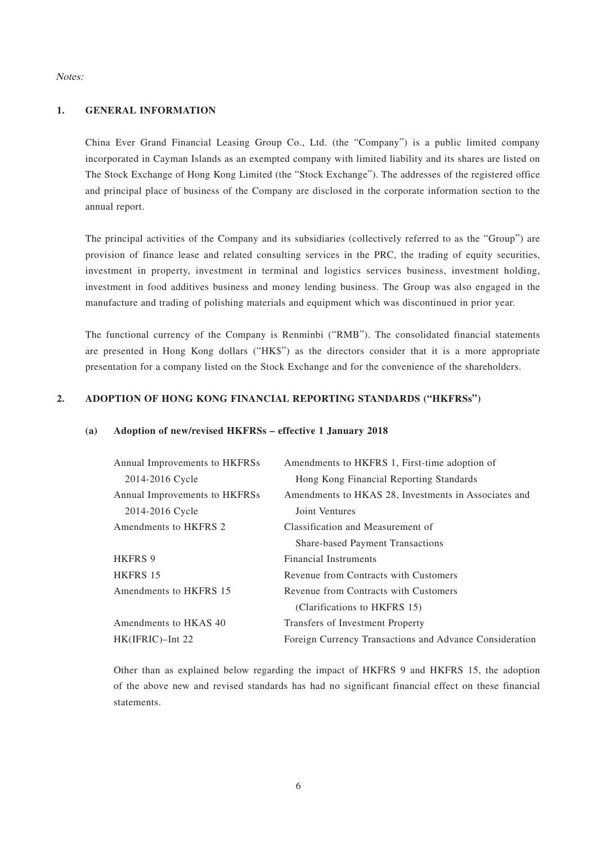#### Notes:

#### **1. GENERAL INFORMATION**

China Ever Grand Financial Leasing Group Co., Ltd. (the "Company") is a public limited company incorporated in Cayman Islands as an exempted company with limited liability and its shares are listed on The Stock Exchange of Hong Kong Limited (the "Stock Exchange"). The addresses of the registered office and principal place of business of the Company are disclosed in the corporate information section to the annual report.

The principal activities of the Company and its subsidiaries (collectively referred to as the "Group") are provision of finance lease and related consulting services in the PRC, the trading of equity securities, investment in property, investment in terminal and logistics services business, investment holding, investment in food additives business and money lending business. The Group was also engaged in the manufacture and trading of polishing materials and equipment which was discontinued in prior year.

The functional currency of the Company is Renminbi ("RMB"). The consolidated financial statements are presented in Hong Kong dollars ("HK\$") as the directors consider that it is a more appropriate presentation for a company listed on the Stock Exchange and for the convenience of the shareholders.

#### **2. ADOPTION OF HONG KONG FINANCIAL REPORTING STANDARDS ("HKFRSs")**

#### **(a) Adoption of new/revised HKFRSs – effective 1 January 2018**

| Annual Improvements to HKFRSs | Amendments to HKFRS 1, First-time adoption of           |
|-------------------------------|---------------------------------------------------------|
| 2014-2016 Cycle               | Hong Kong Financial Reporting Standards                 |
| Annual Improvements to HKFRSs | Amendments to HKAS 28, Investments in Associates and    |
| 2014-2016 Cycle               | Joint Ventures                                          |
| Amendments to HKFRS 2         | Classification and Measurement of                       |
|                               | <b>Share-based Payment Transactions</b>                 |
| <b>HKFRS 9</b>                | <b>Financial Instruments</b>                            |
| <b>HKFRS 15</b>               | Revenue from Contracts with Customers                   |
| Amendments to HKFRS 15        | Revenue from Contracts with Customers                   |
|                               | (Clarifications to HKFRS 15)                            |
| Amendments to HKAS 40         | Transfers of Investment Property                        |
| $HK(IFRIC)$ -Int 22           | Foreign Currency Transactions and Advance Consideration |

Other than as explained below regarding the impact of HKFRS 9 and HKFRS 15, the adoption of the above new and revised standards has had no significant financial effect on these financial statements.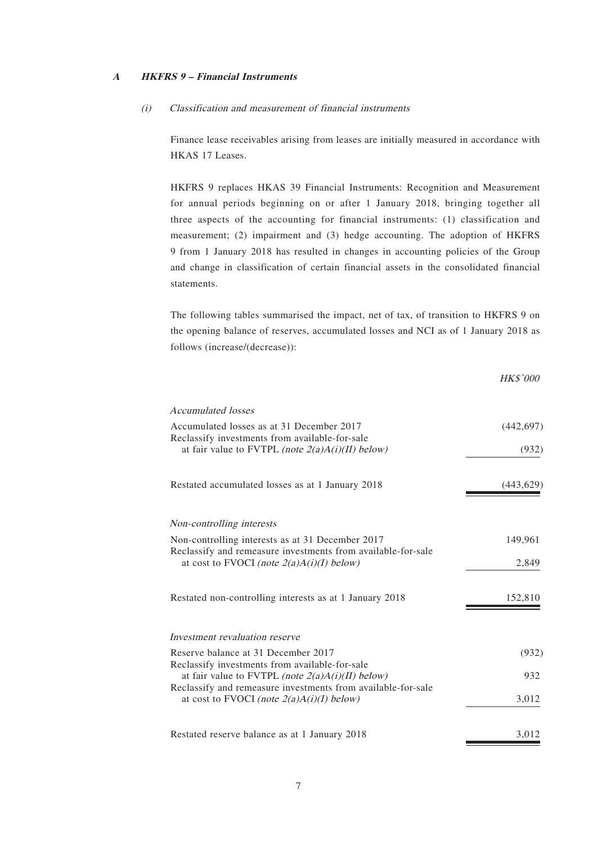#### **A HKFRS 9 – Financial Instruments**

#### (i) Classification and measurement of financial instruments

Finance lease receivables arising from leases are initially measured in accordance with HKAS 17 Leases.

HKFRS 9 replaces HKAS 39 Financial Instruments: Recognition and Measurement for annual periods beginning on or after 1 January 2018, bringing together all three aspects of the accounting for financial instruments: (1) classification and measurement; (2) impairment and (3) hedge accounting. The adoption of HKFRS 9 from 1 January 2018 has resulted in changes in accounting policies of the Group and change in classification of certain financial assets in the consolidated financial statements.

The following tables summarised the impact, net of tax, of transition to HKFRS 9 on the opening balance of reserves, accumulated losses and NCI as of 1 January 2018 as follows (increase/(decrease)):

|                                                                                                             | <b>HK\$'000</b> |
|-------------------------------------------------------------------------------------------------------------|-----------------|
| Accumulated losses                                                                                          |                 |
| Accumulated losses as at 31 December 2017<br>Reclassify investments from available-for-sale                 | (442, 697)      |
| at fair value to FVTPL <i>(note <math>2(a)A(i)(II)</math> below)</i>                                        | (932)           |
| Restated accumulated losses as at 1 January 2018                                                            | (443, 629)      |
| Non-controlling interests                                                                                   |                 |
| Non-controlling interests as at 31 December 2017                                                            | 149,961         |
| Reclassify and remeasure investments from available-for-sale<br>at cost to FVOCI (note $2(a)A(i)(I)$ below) | 2,849           |
| Restated non-controlling interests as at 1 January 2018                                                     | 152,810         |
| Investment revaluation reserve                                                                              |                 |
| Reserve balance at 31 December 2017                                                                         | (932)           |
| Reclassify investments from available-for-sale<br>at fair value to FVTPL (note $2(a)A(i)(II)$ below)        | 932             |
| Reclassify and remeasure investments from available-for-sale<br>at cost to FVOCI (note $2(a)A(i)(I)$ below) | 3,012           |
| Restated reserve balance as at 1 January 2018                                                               | 3,012           |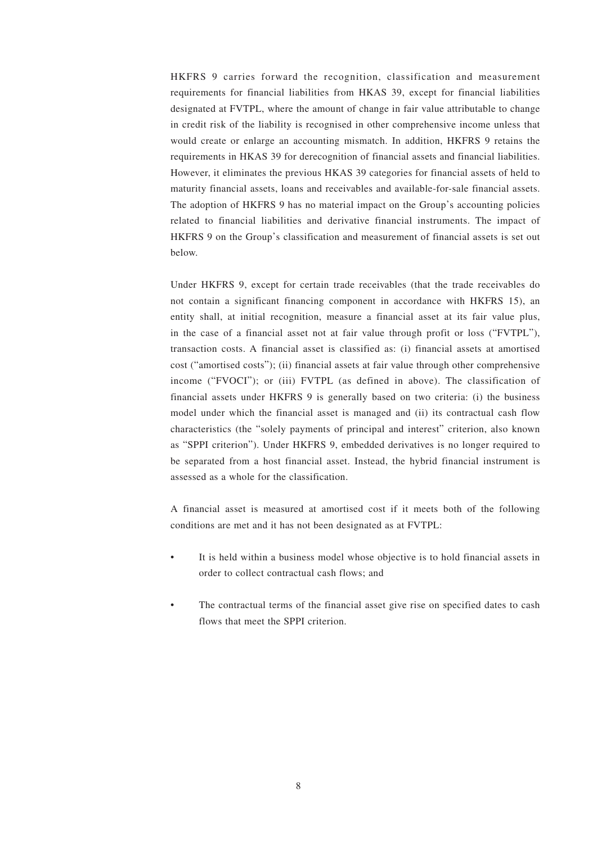HKFRS 9 carries forward the recognition, classification and measurement requirements for financial liabilities from HKAS 39, except for financial liabilities designated at FVTPL, where the amount of change in fair value attributable to change in credit risk of the liability is recognised in other comprehensive income unless that would create or enlarge an accounting mismatch. In addition, HKFRS 9 retains the requirements in HKAS 39 for derecognition of financial assets and financial liabilities. However, it eliminates the previous HKAS 39 categories for financial assets of held to maturity financial assets, loans and receivables and available-for-sale financial assets. The adoption of HKFRS 9 has no material impact on the Group's accounting policies related to financial liabilities and derivative financial instruments. The impact of HKFRS 9 on the Group's classification and measurement of financial assets is set out below.

Under HKFRS 9, except for certain trade receivables (that the trade receivables do not contain a significant financing component in accordance with HKFRS 15), an entity shall, at initial recognition, measure a financial asset at its fair value plus, in the case of a financial asset not at fair value through profit or loss ("FVTPL"), transaction costs. A financial asset is classified as: (i) financial assets at amortised cost ("amortised costs"); (ii) financial assets at fair value through other comprehensive income ("FVOCI"); or (iii) FVTPL (as defined in above). The classification of financial assets under HKFRS 9 is generally based on two criteria: (i) the business model under which the financial asset is managed and (ii) its contractual cash flow characteristics (the "solely payments of principal and interest" criterion, also known as "SPPI criterion"). Under HKFRS 9, embedded derivatives is no longer required to be separated from a host financial asset. Instead, the hybrid financial instrument is assessed as a whole for the classification.

A financial asset is measured at amortised cost if it meets both of the following conditions are met and it has not been designated as at FVTPL:

- It is held within a business model whose objective is to hold financial assets in order to collect contractual cash flows; and
- The contractual terms of the financial asset give rise on specified dates to cash flows that meet the SPPI criterion.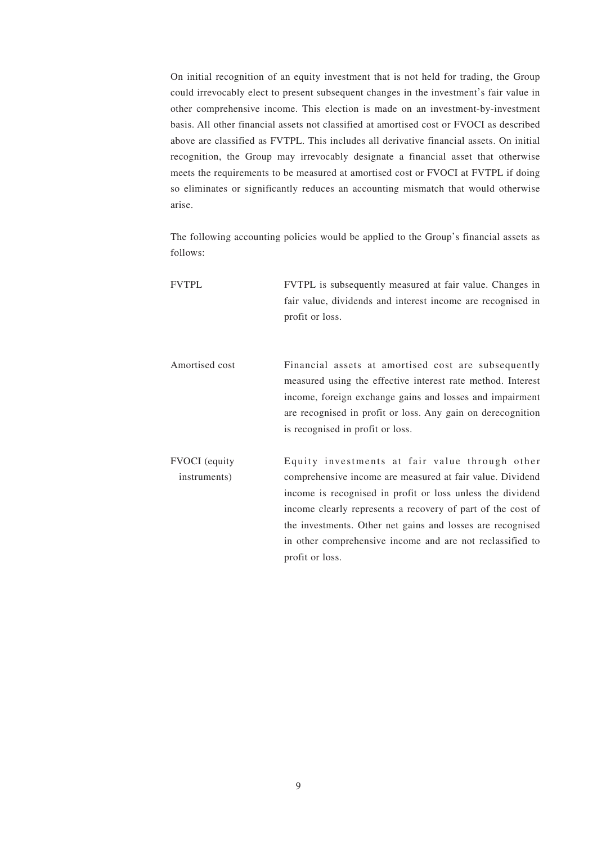On initial recognition of an equity investment that is not held for trading, the Group could irrevocably elect to present subsequent changes in the investment's fair value in other comprehensive income. This election is made on an investment-by-investment basis. All other financial assets not classified at amortised cost or FVOCI as described above are classified as FVTPL. This includes all derivative financial assets. On initial recognition, the Group may irrevocably designate a financial asset that otherwise meets the requirements to be measured at amortised cost or FVOCI at FVTPL if doing so eliminates or significantly reduces an accounting mismatch that would otherwise arise.

The following accounting policies would be applied to the Group's financial assets as follows:

| <b>FVTPL</b>                         | FVTPL is subsequently measured at fair value. Changes in<br>fair value, dividends and interest income are recognised in<br>profit or loss.                                                                                                                                                                                                                                             |
|--------------------------------------|----------------------------------------------------------------------------------------------------------------------------------------------------------------------------------------------------------------------------------------------------------------------------------------------------------------------------------------------------------------------------------------|
| Amortised cost                       | Financial assets at amortised cost are subsequently<br>measured using the effective interest rate method. Interest<br>income, foreign exchange gains and losses and impairment<br>are recognised in profit or loss. Any gain on derecognition<br>is recognised in profit or loss.                                                                                                      |
| <b>FVOCI</b> (equity<br>instruments) | Equity investments at fair value through other<br>comprehensive income are measured at fair value. Dividend<br>income is recognised in profit or loss unless the dividend<br>income clearly represents a recovery of part of the cost of<br>the investments. Other net gains and losses are recognised<br>in other comprehensive income and are not reclassified to<br>profit or loss. |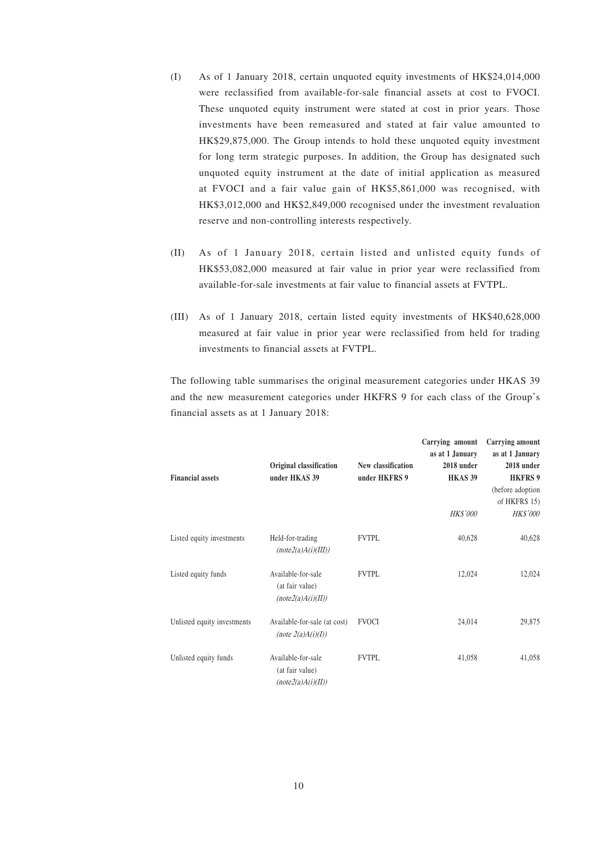- (I) As of 1 January 2018, certain unquoted equity investments of HK\$24,014,000 were reclassified from available-for-sale financial assets at cost to FVOCI. These unquoted equity instrument were stated at cost in prior years. Those investments have been remeasured and stated at fair value amounted to HK\$29,875,000. The Group intends to hold these unquoted equity investment for long term strategic purposes. In addition, the Group has designated such unquoted equity instrument at the date of initial application as measured at FVOCI and a fair value gain of HK\$5,861,000 was recognised, with HK\$3,012,000 and HK\$2,849,000 recognised under the investment revaluation reserve and non-controlling interests respectively.
- (II) As of 1 January 2018, certain listed and unlisted equity funds of HK\$53,082,000 measured at fair value in prior year were reclassified from available-for-sale investments at fair value to financial assets at FVTPL.
- (III) As of 1 January 2018, certain listed equity investments of HK\$40,628,000 measured at fair value in prior year were reclassified from held for trading investments to financial assets at FVTPL.

The following table summarises the original measurement categories under HKAS 39 and the new measurement categories under HKFRS 9 for each class of the Group's financial assets as at 1 January 2018:

| <b>Financial assets</b>     | Original classification<br>under HKAS 39                    | <b>New classification</b><br>under HKFRS 9 | Carrying amount<br>as at 1 January<br>2018 under<br><b>HKAS 39</b><br><b>HK\$'000</b> | Carrying amount<br>as at 1 January<br>2018 under<br><b>HKFRS 9</b><br>(before adoption<br>of HKFRS 15)<br><b>HK\$'000</b> |
|-----------------------------|-------------------------------------------------------------|--------------------------------------------|---------------------------------------------------------------------------------------|---------------------------------------------------------------------------------------------------------------------------|
| Listed equity investments   | Held-for-trading<br>(note2(a)A(i)(III))                     | <b>FVTPL</b>                               | 40,628                                                                                | 40,628                                                                                                                    |
| Listed equity funds         | Available-for-sale<br>(at fair value)<br>(note2(a)A(i)(II)) | <b>FVTPL</b>                               | 12,024                                                                                | 12,024                                                                                                                    |
| Unlisted equity investments | Available-for-sale (at cost)<br>(note $2(a)A(i)(I)$ )       | <b>FVOCI</b>                               | 24,014                                                                                | 29,875                                                                                                                    |
| Unlisted equity funds       | Available-for-sale<br>(at fair value)<br>(note2(a)A(i)(II)) | <b>FVTPL</b>                               | 41,058                                                                                | 41,058                                                                                                                    |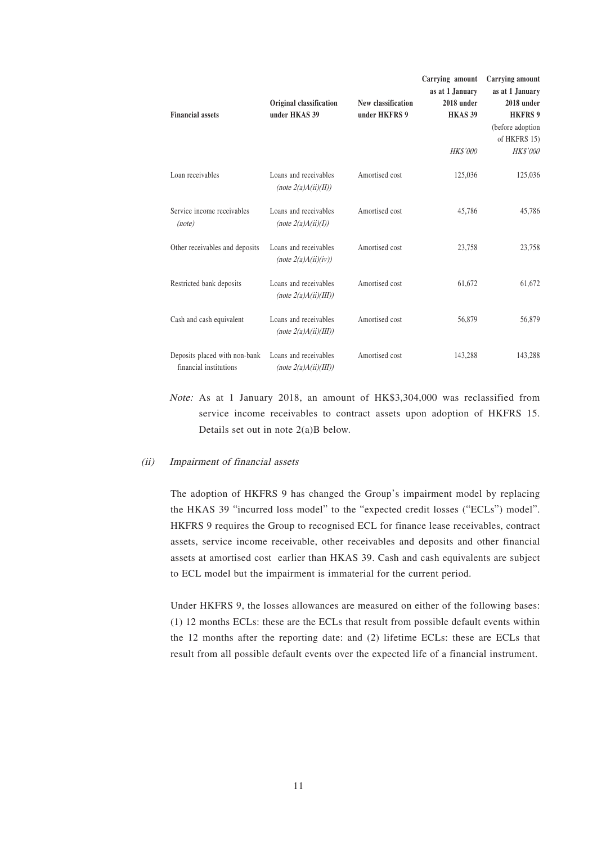| <b>Financial assets</b>                                 | Original classification<br>under HKAS 39          | New classification<br>under HKFRS 9 | Carrying amount<br>as at 1 January<br>2018 under<br><b>HKAS 39</b> | <b>Carrying amount</b><br>as at 1 January<br>2018 under<br><b>HKFRS 9</b><br>(before adoption<br>of HKFRS 15) |
|---------------------------------------------------------|---------------------------------------------------|-------------------------------------|--------------------------------------------------------------------|---------------------------------------------------------------------------------------------------------------|
|                                                         |                                                   |                                     | <b>HK\$'000</b>                                                    | <b>HK\$'000</b>                                                                                               |
| Loan receivables                                        | Loans and receivables<br>(note $2(a)A(ii)(II)$ )  | Amortised cost                      | 125,036                                                            | 125,036                                                                                                       |
| Service income receivables<br>(note)                    | Loans and receivables<br>(note $2(a)A(ii)(I)$ )   | Amortised cost                      | 45,786                                                             | 45,786                                                                                                        |
| Other receivables and deposits                          | Loans and receivables<br>(note $2(a)A(ii)(iv)$ )  | Amortised cost                      | 23,758                                                             | 23,758                                                                                                        |
| Restricted bank deposits                                | Loans and receivables<br>(note $2(a)A(ii)(III)$ ) | Amortised cost                      | 61,672                                                             | 61,672                                                                                                        |
| Cash and cash equivalent                                | Loans and receivables<br>(note $2(a)A(ii)(III)$ ) | Amortised cost                      | 56,879                                                             | 56,879                                                                                                        |
| Deposits placed with non-bank<br>financial institutions | Loans and receivables<br>(note $2(a)A(ii)(III)$ ) | Amortised cost                      | 143,288                                                            | 143,288                                                                                                       |

Note: As at 1 January 2018, an amount of HK\$3,304,000 was reclassified from service income receivables to contract assets upon adoption of HKFRS 15. Details set out in note 2(a)B below.

#### (ii) Impairment of financial assets

The adoption of HKFRS 9 has changed the Group's impairment model by replacing the HKAS 39 "incurred loss model" to the "expected credit losses ("ECLs") model". HKFRS 9 requires the Group to recognised ECL for finance lease receivables, contract assets, service income receivable, other receivables and deposits and other financial assets at amortised cost earlier than HKAS 39. Cash and cash equivalents are subject to ECL model but the impairment is immaterial for the current period.

Under HKFRS 9, the losses allowances are measured on either of the following bases: (1) 12 months ECLs: these are the ECLs that result from possible default events within the 12 months after the reporting date: and (2) lifetime ECLs: these are ECLs that result from all possible default events over the expected life of a financial instrument.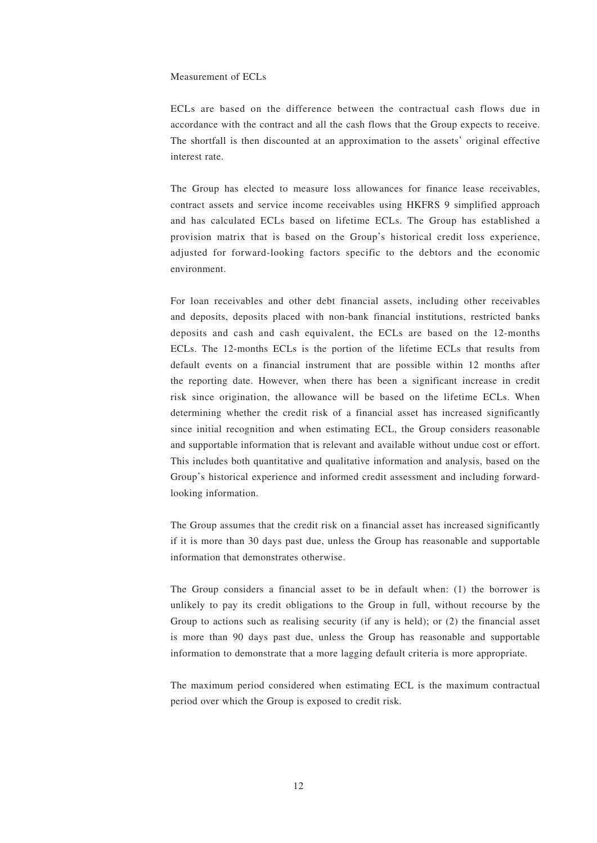#### Measurement of ECLs

ECLs are based on the difference between the contractual cash flows due in accordance with the contract and all the cash flows that the Group expects to receive. The shortfall is then discounted at an approximation to the assets' original effective interest rate.

The Group has elected to measure loss allowances for finance lease receivables, contract assets and service income receivables using HKFRS 9 simplified approach and has calculated ECLs based on lifetime ECLs. The Group has established a provision matrix that is based on the Group's historical credit loss experience, adjusted for forward-looking factors specific to the debtors and the economic environment.

For loan receivables and other debt financial assets, including other receivables and deposits, deposits placed with non-bank financial institutions, restricted banks deposits and cash and cash equivalent, the ECLs are based on the 12-months ECLs. The 12-months ECLs is the portion of the lifetime ECLs that results from default events on a financial instrument that are possible within 12 months after the reporting date. However, when there has been a significant increase in credit risk since origination, the allowance will be based on the lifetime ECLs. When determining whether the credit risk of a financial asset has increased significantly since initial recognition and when estimating ECL, the Group considers reasonable and supportable information that is relevant and available without undue cost or effort. This includes both quantitative and qualitative information and analysis, based on the Group's historical experience and informed credit assessment and including forwardlooking information.

The Group assumes that the credit risk on a financial asset has increased significantly if it is more than 30 days past due, unless the Group has reasonable and supportable information that demonstrates otherwise.

The Group considers a financial asset to be in default when: (1) the borrower is unlikely to pay its credit obligations to the Group in full, without recourse by the Group to actions such as realising security (if any is held); or (2) the financial asset is more than 90 days past due, unless the Group has reasonable and supportable information to demonstrate that a more lagging default criteria is more appropriate.

The maximum period considered when estimating ECL is the maximum contractual period over which the Group is exposed to credit risk.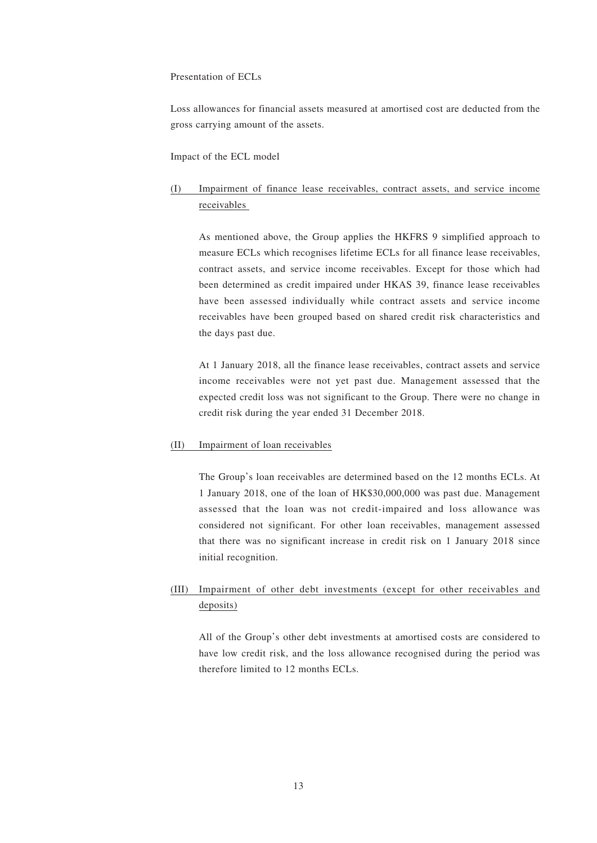#### Presentation of ECLs

Loss allowances for financial assets measured at amortised cost are deducted from the gross carrying amount of the assets.

Impact of the ECL model

## (I) Impairment of finance lease receivables, contract assets, and service income receivables

As mentioned above, the Group applies the HKFRS 9 simplified approach to measure ECLs which recognises lifetime ECLs for all finance lease receivables, contract assets, and service income receivables. Except for those which had been determined as credit impaired under HKAS 39, finance lease receivables have been assessed individually while contract assets and service income receivables have been grouped based on shared credit risk characteristics and the days past due.

At 1 January 2018, all the finance lease receivables, contract assets and service income receivables were not yet past due. Management assessed that the expected credit loss was not significant to the Group. There were no change in credit risk during the year ended 31 December 2018.

#### (II) Impairment of loan receivables

The Group's loan receivables are determined based on the 12 months ECLs. At 1 January 2018, one of the loan of HK\$30,000,000 was past due. Management assessed that the loan was not credit-impaired and loss allowance was considered not significant. For other loan receivables, management assessed that there was no significant increase in credit risk on 1 January 2018 since initial recognition.

## (III) Impairment of other debt investments (except for other receivables and deposits)

All of the Group's other debt investments at amortised costs are considered to have low credit risk, and the loss allowance recognised during the period was therefore limited to 12 months ECLs.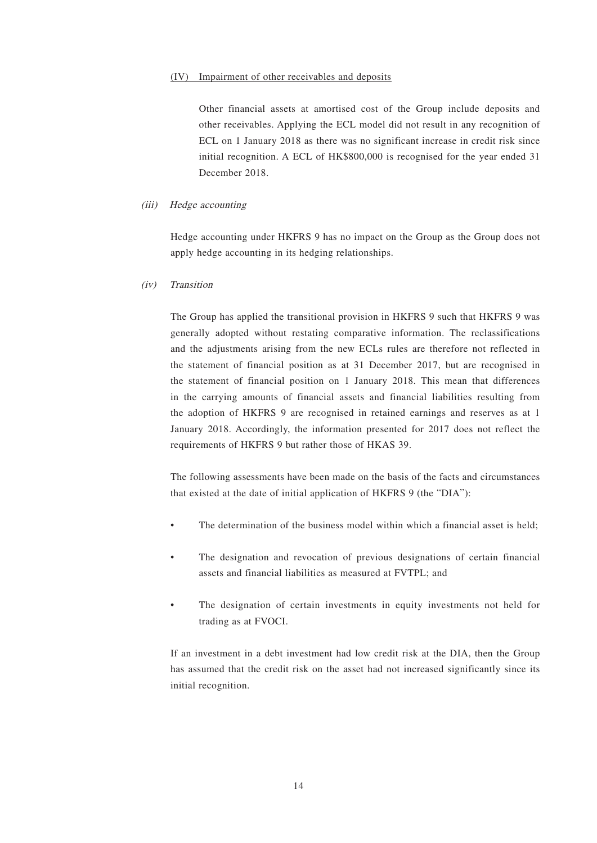#### (IV) Impairment of other receivables and deposits

Other financial assets at amortised cost of the Group include deposits and other receivables. Applying the ECL model did not result in any recognition of ECL on 1 January 2018 as there was no significant increase in credit risk since initial recognition. A ECL of HK\$800,000 is recognised for the year ended 31 December 2018.

#### (iii) Hedge accounting

Hedge accounting under HKFRS 9 has no impact on the Group as the Group does not apply hedge accounting in its hedging relationships.

#### (iv) Transition

The Group has applied the transitional provision in HKFRS 9 such that HKFRS 9 was generally adopted without restating comparative information. The reclassifications and the adjustments arising from the new ECLs rules are therefore not reflected in the statement of financial position as at 31 December 2017, but are recognised in the statement of financial position on 1 January 2018. This mean that differences in the carrying amounts of financial assets and financial liabilities resulting from the adoption of HKFRS 9 are recognised in retained earnings and reserves as at 1 January 2018. Accordingly, the information presented for 2017 does not reflect the requirements of HKFRS 9 but rather those of HKAS 39.

The following assessments have been made on the basis of the facts and circumstances that existed at the date of initial application of HKFRS 9 (the "DIA"):

- The determination of the business model within which a financial asset is held;
- The designation and revocation of previous designations of certain financial assets and financial liabilities as measured at FVTPL; and
- The designation of certain investments in equity investments not held for trading as at FVOCI.

If an investment in a debt investment had low credit risk at the DIA, then the Group has assumed that the credit risk on the asset had not increased significantly since its initial recognition.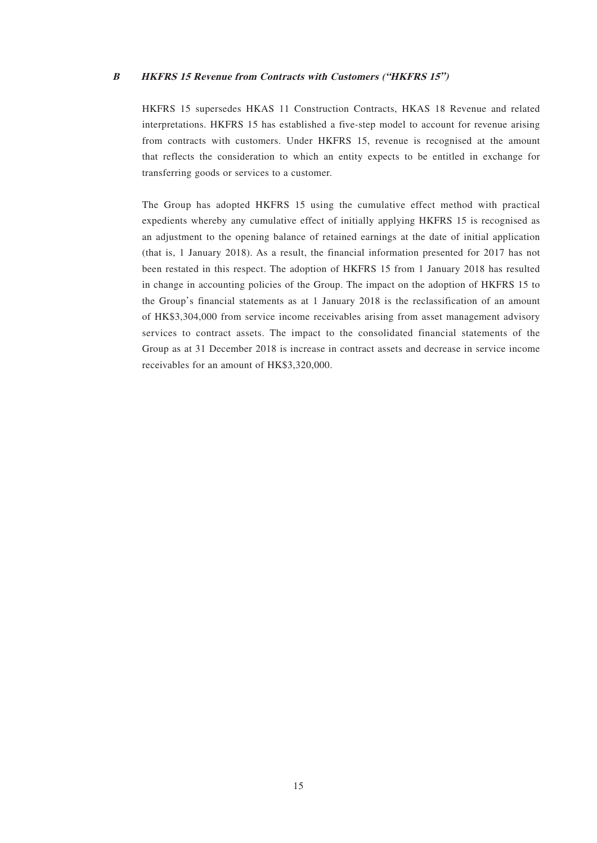#### **B HKFRS 15 Revenue from Contracts with Customers ("HKFRS 15")**

HKFRS 15 supersedes HKAS 11 Construction Contracts, HKAS 18 Revenue and related interpretations. HKFRS 15 has established a five-step model to account for revenue arising from contracts with customers. Under HKFRS 15, revenue is recognised at the amount that reflects the consideration to which an entity expects to be entitled in exchange for transferring goods or services to a customer.

The Group has adopted HKFRS 15 using the cumulative effect method with practical expedients whereby any cumulative effect of initially applying HKFRS 15 is recognised as an adjustment to the opening balance of retained earnings at the date of initial application (that is, 1 January 2018). As a result, the financial information presented for 2017 has not been restated in this respect. The adoption of HKFRS 15 from 1 January 2018 has resulted in change in accounting policies of the Group. The impact on the adoption of HKFRS 15 to the Group's financial statements as at 1 January 2018 is the reclassification of an amount of HK\$3,304,000 from service income receivables arising from asset management advisory services to contract assets. The impact to the consolidated financial statements of the Group as at 31 December 2018 is increase in contract assets and decrease in service income receivables for an amount of HK\$3,320,000.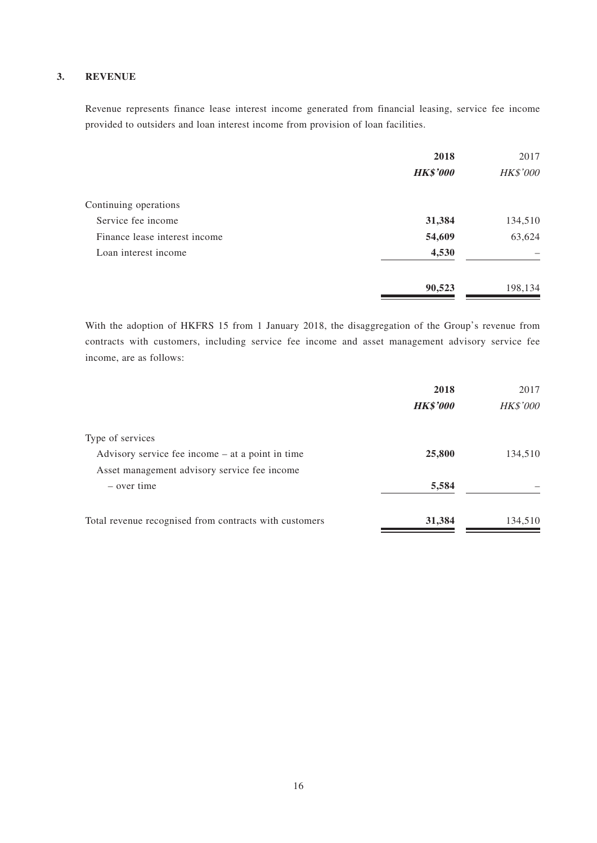### **3. REVENUE**

Revenue represents finance lease interest income generated from financial leasing, service fee income provided to outsiders and loan interest income from provision of loan facilities.

|                               | 2018            | 2017     |
|-------------------------------|-----------------|----------|
|                               | <b>HK\$'000</b> | HK\$'000 |
| Continuing operations         |                 |          |
| Service fee income            | 31,384          | 134,510  |
| Finance lease interest income | 54,609          | 63,624   |
| Loan interest income          | 4,530           |          |
|                               | 90,523          | 198,134  |

With the adoption of HKFRS 15 from 1 January 2018, the disaggregation of the Group's revenue from contracts with customers, including service fee income and asset management advisory service fee income, are as follows:

|                                                        | 2018            | 2017     |
|--------------------------------------------------------|-----------------|----------|
|                                                        | <b>HK\$'000</b> | HK\$'000 |
| Type of services                                       |                 |          |
| Advisory service fee income $-$ at a point in time     | 25,800          | 134,510  |
| Asset management advisory service fee income           |                 |          |
| – over time                                            | 5,584           |          |
| Total revenue recognised from contracts with customers | 31,384          | 134,510  |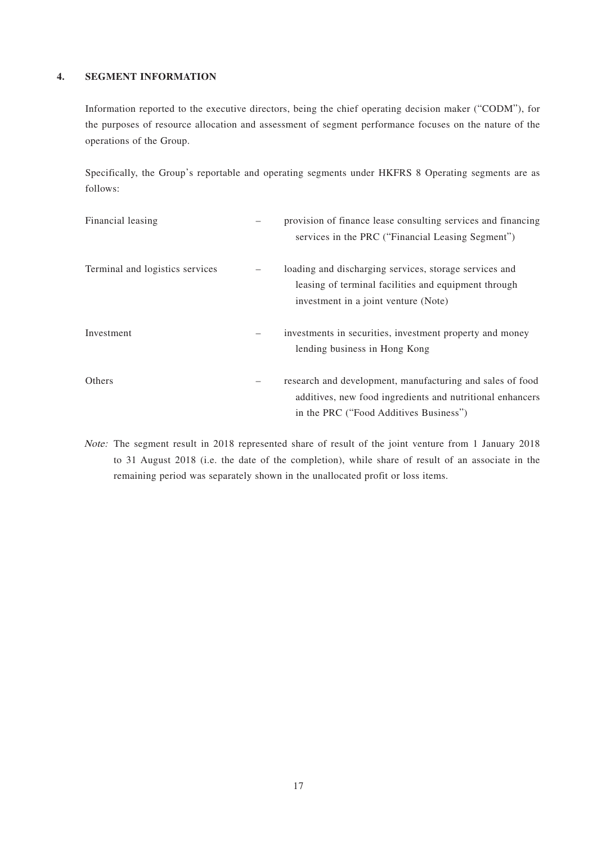#### **4. SEGMENT INFORMATION**

Information reported to the executive directors, being the chief operating decision maker ("CODM"), for the purposes of resource allocation and assessment of segment performance focuses on the nature of the operations of the Group.

Specifically, the Group's reportable and operating segments under HKFRS 8 Operating segments are as follows:

| Financial leasing               |   | provision of finance lease consulting services and financing<br>services in the PRC ("Financial Leasing Segment")                                                |
|---------------------------------|---|------------------------------------------------------------------------------------------------------------------------------------------------------------------|
| Terminal and logistics services |   | loading and discharging services, storage services and<br>leasing of terminal facilities and equipment through<br>investment in a joint venture (Note)           |
| Investment                      | - | investments in securities, investment property and money<br>lending business in Hong Kong                                                                        |
| Others                          | - | research and development, manufacturing and sales of food<br>additives, new food ingredients and nutritional enhancers<br>in the PRC ("Food Additives Business") |

Note: The segment result in 2018 represented share of result of the joint venture from 1 January 2018 to 31 August 2018 (i.e. the date of the completion), while share of result of an associate in the remaining period was separately shown in the unallocated profit or loss items.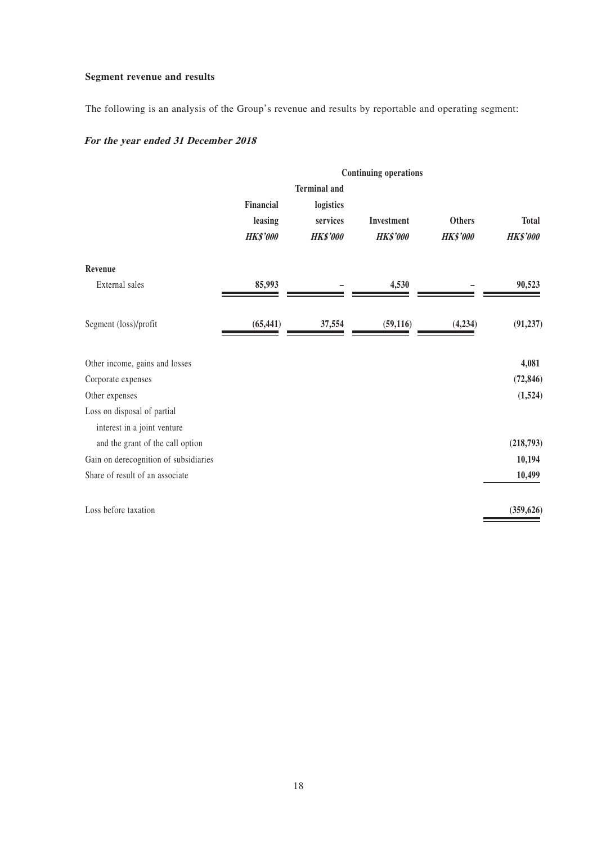## **Segment revenue and results**

The following is an analysis of the Group's revenue and results by reportable and operating segment:

# **For the year ended 31 December 2018**

|                                       | <b>Continuing operations</b> |                     |                 |                 |                 |
|---------------------------------------|------------------------------|---------------------|-----------------|-----------------|-----------------|
|                                       |                              | <b>Terminal</b> and |                 |                 |                 |
|                                       | Financial                    | logistics           |                 |                 |                 |
|                                       | leasing                      | services            | Investment      | <b>Others</b>   | <b>Total</b>    |
|                                       | <b>HK\$'000</b>              | <b>HK\$'000</b>     | <b>HK\$'000</b> | <b>HK\$'000</b> | <b>HK\$'000</b> |
| Revenue                               |                              |                     |                 |                 |                 |
| External sales                        | 85,993                       |                     | 4,530           |                 | 90,523          |
| Segment (loss)/profit                 | (65, 441)                    | 37,554              | (59, 116)       | (4,234)         | (91, 237)       |
| Other income, gains and losses        |                              |                     |                 |                 | 4,081           |
| Corporate expenses                    |                              |                     |                 |                 | (72, 846)       |
| Other expenses                        |                              |                     |                 |                 | (1,524)         |
| Loss on disposal of partial           |                              |                     |                 |                 |                 |
| interest in a joint venture           |                              |                     |                 |                 |                 |
| and the grant of the call option      |                              |                     |                 |                 | (218,793)       |
| Gain on derecognition of subsidiaries |                              |                     |                 |                 | 10,194          |
| Share of result of an associate       |                              |                     |                 |                 | 10,499          |
| Loss before taxation                  |                              |                     |                 |                 | (359, 626)      |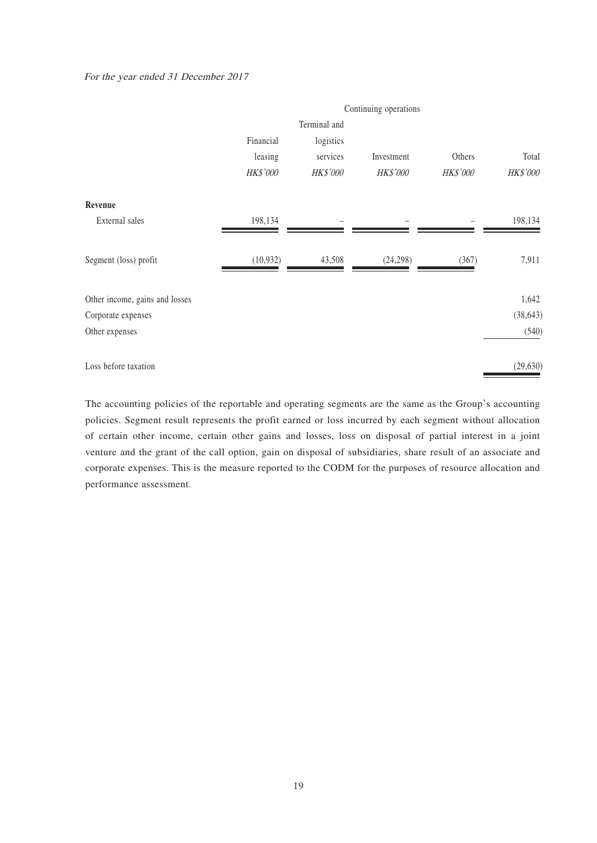#### For the year ended 31 December 2017

|                                | Continuing operations |           |            |          |                 |
|--------------------------------|-----------------------|-----------|------------|----------|-----------------|
|                                | Terminal and          |           |            |          |                 |
|                                | Financial             | logistics |            |          |                 |
|                                | leasing               | services  | Investment | Others   | Total           |
|                                | HK\$'000              | HK\$'000  | HK\$'000   | HK\$'000 | <b>HK\$'000</b> |
| Revenue                        |                       |           |            |          |                 |
| External sales                 | 198,134               |           |            |          | 198,134         |
| Segment (loss) profit          | (10, 932)             | 43,508    | (24,298)   | (367)    | 7,911           |
| Other income, gains and losses |                       |           |            |          | 1,642           |
| Corporate expenses             |                       |           |            |          | (38, 643)       |
| Other expenses                 |                       |           |            |          | (540)           |
| Loss before taxation           |                       |           |            |          | (29, 630)       |

The accounting policies of the reportable and operating segments are the same as the Group's accounting policies. Segment result represents the profit earned or loss incurred by each segment without allocation of certain other income, certain other gains and losses, loss on disposal of partial interest in a joint venture and the grant of the call option, gain on disposal of subsidiaries, share result of an associate and corporate expenses. This is the measure reported to the CODM for the purposes of resource allocation and performance assessment.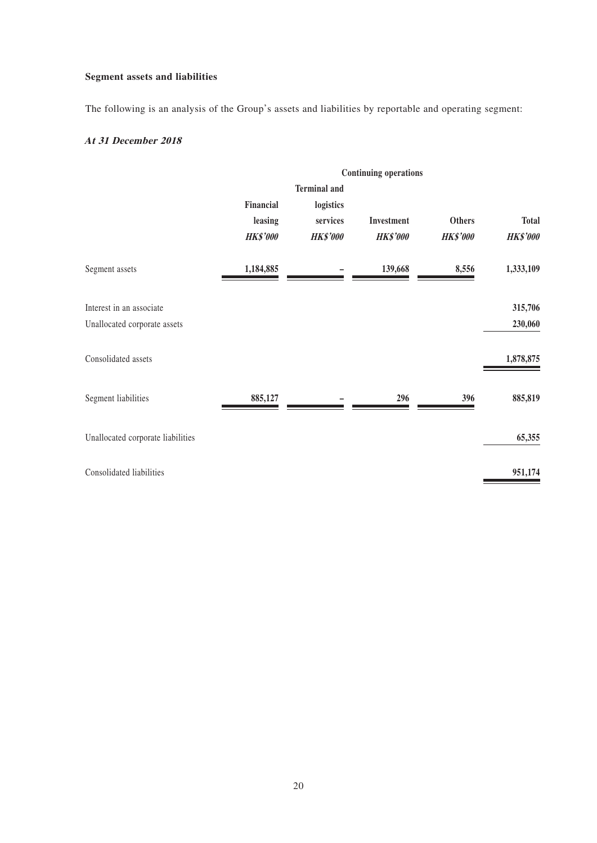## **Segment assets and liabilities**

The following is an analysis of the Group's assets and liabilities by reportable and operating segment:

## **At 31 December 2018**

|                                   | <b>Continuing operations</b> |                     |                 |                 |                 |  |
|-----------------------------------|------------------------------|---------------------|-----------------|-----------------|-----------------|--|
|                                   |                              | <b>Terminal and</b> |                 |                 |                 |  |
|                                   | Financial                    | logistics           |                 |                 |                 |  |
|                                   | leasing                      | services            | Investment      | <b>Others</b>   | <b>Total</b>    |  |
|                                   | <b>HK\$'000</b>              | <b>HK\$'000</b>     | <b>HK\$'000</b> | <b>HK\$'000</b> | <b>HK\$'000</b> |  |
| Segment assets                    | 1,184,885                    |                     | 139,668         | 8,556           | 1,333,109       |  |
| Interest in an associate          |                              |                     |                 |                 | 315,706         |  |
| Unallocated corporate assets      |                              |                     |                 |                 | 230,060         |  |
| Consolidated assets               |                              |                     |                 |                 | 1,878,875       |  |
| Segment liabilities               | 885,127                      |                     | 296             | 396             | 885,819         |  |
| Unallocated corporate liabilities |                              |                     |                 |                 | 65,355          |  |
| Consolidated liabilities          |                              |                     |                 |                 | 951,174         |  |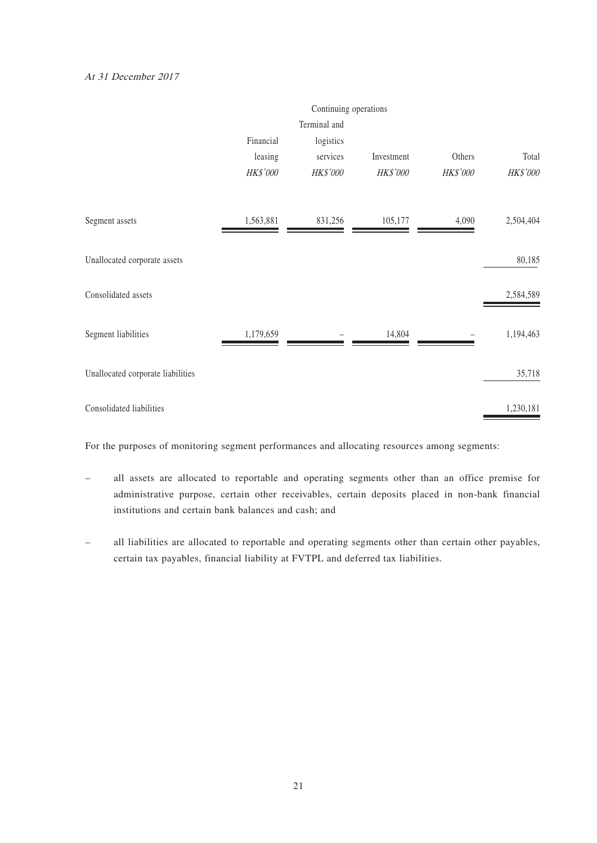#### At 31 December 2017

|                                   |           | Continuing operations |            |          |           |
|-----------------------------------|-----------|-----------------------|------------|----------|-----------|
|                                   |           | Terminal and          |            |          |           |
|                                   | Financial | logistics             |            |          |           |
|                                   | leasing   | services              | Investment | Others   | Total     |
|                                   | HK\$'000  | HK\$'000              | HK\$'000   | HK\$'000 | HK\$'000  |
| Segment assets                    | 1,563,881 | 831,256               | 105,177    | 4,090    | 2,504,404 |
| Unallocated corporate assets      |           |                       |            |          | 80,185    |
| Consolidated assets               |           |                       |            |          | 2,584,589 |
| Segment liabilities               | 1,179,659 |                       | 14,804     |          | 1,194,463 |
| Unallocated corporate liabilities |           |                       |            |          | 35,718    |
| Consolidated liabilities          |           |                       |            |          | 1,230,181 |

For the purposes of monitoring segment performances and allocating resources among segments:

- all assets are allocated to reportable and operating segments other than an office premise for administrative purpose, certain other receivables, certain deposits placed in non-bank financial institutions and certain bank balances and cash; and
- all liabilities are allocated to reportable and operating segments other than certain other payables, certain tax payables, financial liability at FVTPL and deferred tax liabilities.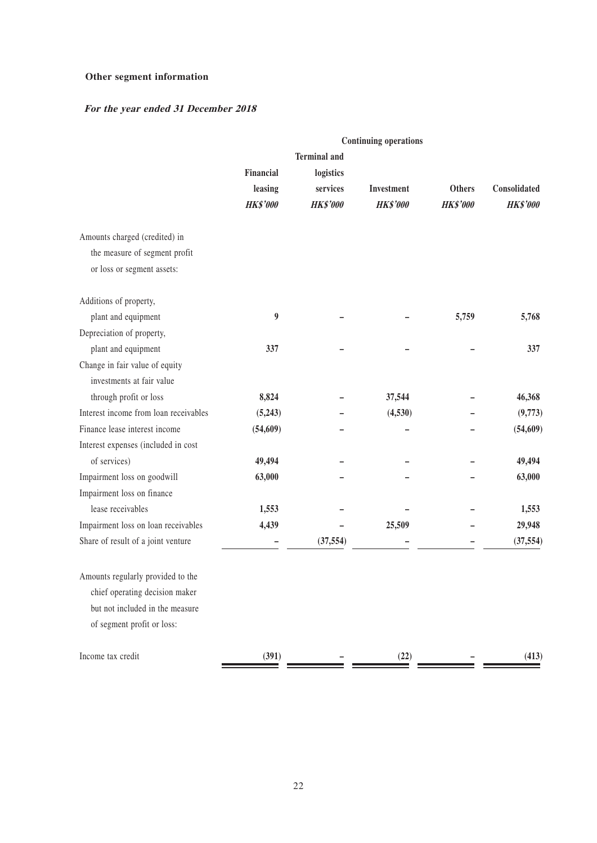## **Other segment information**

## **For the year ended 31 December 2018**

|                                       |                 |                     | <b>Continuing operations</b> |                 |                 |
|---------------------------------------|-----------------|---------------------|------------------------------|-----------------|-----------------|
|                                       |                 | <b>Terminal</b> and |                              |                 |                 |
|                                       | Financial       | logistics           |                              |                 |                 |
|                                       | leasing         | services            | Investment                   | <b>Others</b>   | Consolidated    |
|                                       | <b>HK\$'000</b> | <b>HK\$'000</b>     | <b>HK\$'000</b>              | <b>HK\$'000</b> | <b>HK\$'000</b> |
| Amounts charged (credited) in         |                 |                     |                              |                 |                 |
| the measure of segment profit         |                 |                     |                              |                 |                 |
| or loss or segment assets:            |                 |                     |                              |                 |                 |
| Additions of property,                |                 |                     |                              |                 |                 |
| plant and equipment                   | 9               |                     |                              | 5,759           | 5,768           |
| Depreciation of property,             |                 |                     |                              |                 |                 |
| plant and equipment                   | 337             |                     |                              |                 | 337             |
| Change in fair value of equity        |                 |                     |                              |                 |                 |
| investments at fair value             |                 |                     |                              |                 |                 |
| through profit or loss                | 8,824           |                     | 37,544                       |                 | 46,368          |
| Interest income from loan receivables | (5,243)         |                     | (4,530)                      |                 | (9,773)         |
| Finance lease interest income         | (54, 609)       |                     |                              |                 | (54, 609)       |
| Interest expenses (included in cost   |                 |                     |                              |                 |                 |
| of services)                          | 49,494          |                     |                              |                 | 49,494          |
| Impairment loss on goodwill           | 63,000          |                     |                              |                 | 63,000          |
| Impairment loss on finance            |                 |                     |                              |                 |                 |
| lease receivables                     | 1,553           |                     |                              |                 | 1,553           |
| Impairment loss on loan receivables   | 4,439           |                     | 25,509                       |                 | 29,948          |
| Share of result of a joint venture    |                 | (37, 554)           |                              |                 | (37, 554)       |
| Amounts regularly provided to the     |                 |                     |                              |                 |                 |
| chief operating decision maker        |                 |                     |                              |                 |                 |
| but not included in the measure       |                 |                     |                              |                 |                 |
| of segment profit or loss:            |                 |                     |                              |                 |                 |
| Income tax credit                     | (391)           |                     | (22)                         |                 | (413)           |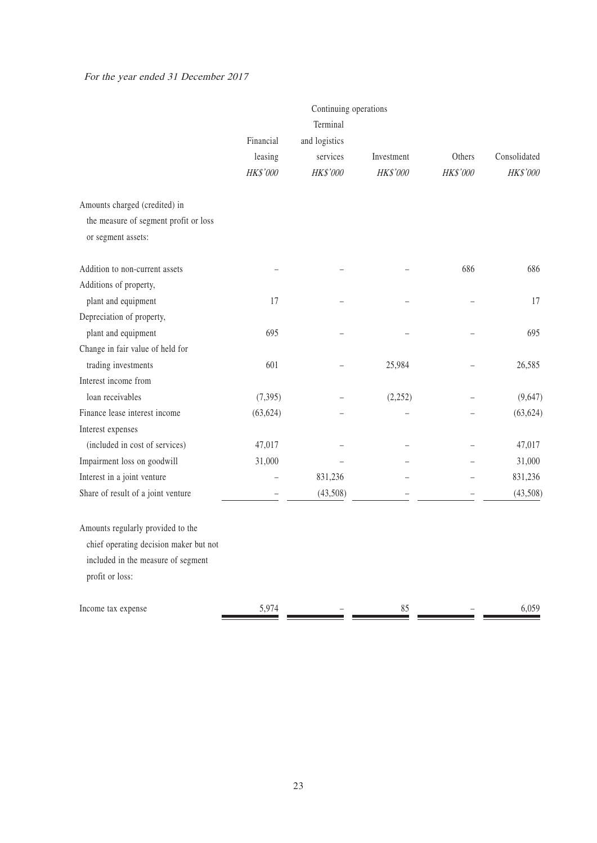## For the year ended 31 December 2017

|                                        |           | Continuing operations |            |          |              |
|----------------------------------------|-----------|-----------------------|------------|----------|--------------|
|                                        |           | Terminal              |            |          |              |
|                                        | Financial | and logistics         |            |          |              |
|                                        | leasing   | services              | Investment | Others   | Consolidated |
|                                        | HK\$'000  | HK\$'000              | HK\$'000   | HK\$'000 | HK\$'000     |
| Amounts charged (credited) in          |           |                       |            |          |              |
| the measure of segment profit or loss  |           |                       |            |          |              |
| or segment assets:                     |           |                       |            |          |              |
| Addition to non-current assets         |           |                       |            | 686      | 686          |
| Additions of property,                 |           |                       |            |          |              |
| plant and equipment                    | 17        |                       |            |          | 17           |
| Depreciation of property,              |           |                       |            |          |              |
| plant and equipment                    | 695       |                       |            |          | 695          |
| Change in fair value of held for       |           |                       |            |          |              |
| trading investments                    | 601       |                       | 25,984     |          | 26,585       |
| Interest income from                   |           |                       |            |          |              |
| loan receivables                       | (7, 395)  |                       | (2,252)    |          | (9,647)      |
| Finance lease interest income          | (63, 624) |                       |            |          | (63, 624)    |
| Interest expenses                      |           |                       |            |          |              |
| (included in cost of services)         | 47,017    |                       |            |          | 47,017       |
| Impairment loss on goodwill            | 31,000    |                       |            |          | 31,000       |
| Interest in a joint venture            |           | 831,236               |            |          | 831,236      |
| Share of result of a joint venture     |           | (43,508)              |            |          | (43,508)     |
| Amounts regularly provided to the      |           |                       |            |          |              |
| chief operating decision maker but not |           |                       |            |          |              |
| included in the measure of segment     |           |                       |            |          |              |
| profit or loss:                        |           |                       |            |          |              |
| Income tax expense                     | 5,974     |                       | 85         |          | 6,059        |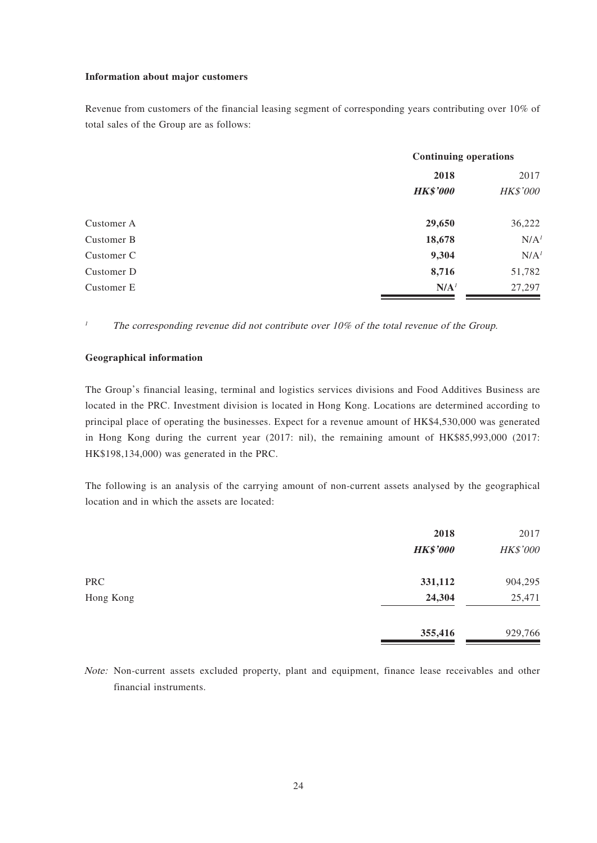#### **Information about major customers**

Revenue from customers of the financial leasing segment of corresponding years contributing over 10% of total sales of the Group are as follows:

|            |                  | <b>Continuing operations</b> |  |  |
|------------|------------------|------------------------------|--|--|
|            | 2018             | 2017                         |  |  |
|            | <b>HK\$'000</b>  | <b>HK\$'000</b>              |  |  |
| Customer A | 29,650           | 36,222                       |  |  |
| Customer B | 18,678           | N/A <sup>1</sup>             |  |  |
| Customer C | 9,304            | N/A <sup>1</sup>             |  |  |
| Customer D | 8,716            | 51,782                       |  |  |
| Customer E | N/A <sup>1</sup> | 27,297                       |  |  |

<sup>1</sup> The corresponding revenue did not contribute over 10% of the total revenue of the Group.

#### **Geographical information**

The Group's financial leasing, terminal and logistics services divisions and Food Additives Business are located in the PRC. Investment division is located in Hong Kong. Locations are determined according to principal place of operating the businesses. Expect for a revenue amount of HK\$4,530,000 was generated in Hong Kong during the current year (2017: nil), the remaining amount of HK\$85,993,000 (2017: HK\$198,134,000) was generated in the PRC.

The following is an analysis of the carrying amount of non-current assets analysed by the geographical location and in which the assets are located:

|            | 2018            | 2017     |
|------------|-----------------|----------|
|            | <b>HK\$'000</b> | HK\$'000 |
| <b>PRC</b> | 331,112         | 904,295  |
| Hong Kong  | 24,304          | 25,471   |
|            | 355,416         | 929,766  |

Note: Non-current assets excluded property, plant and equipment, finance lease receivables and other financial instruments.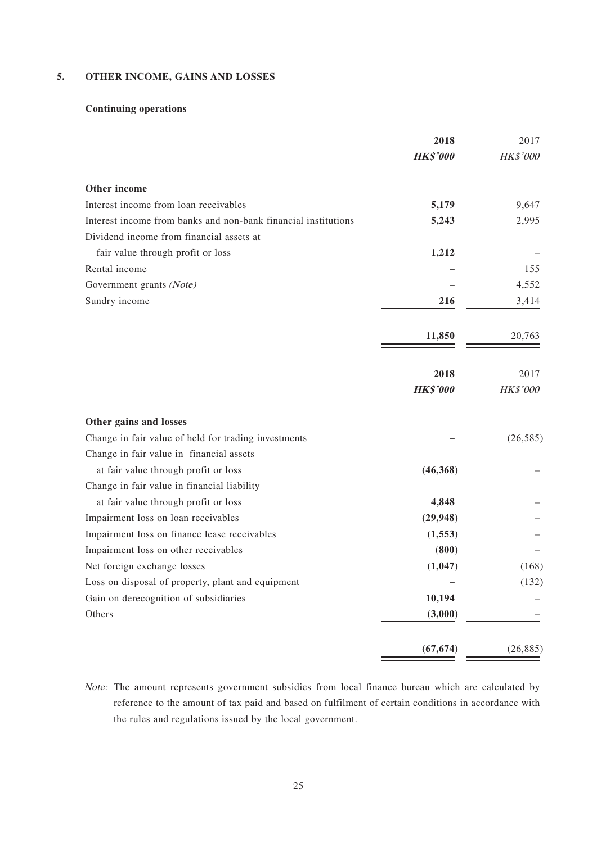### **5. OTHER INCOME, GAINS AND LOSSES**

## **Continuing operations**

|                                                                | 2018            | 2017      |
|----------------------------------------------------------------|-----------------|-----------|
|                                                                | <b>HK\$'000</b> | HK\$'000  |
| Other income                                                   |                 |           |
| Interest income from loan receivables                          | 5,179           | 9,647     |
| Interest income from banks and non-bank financial institutions | 5,243           | 2,995     |
| Dividend income from financial assets at                       |                 |           |
| fair value through profit or loss                              | 1,212           |           |
| Rental income                                                  |                 | 155       |
| Government grants (Note)                                       |                 | 4,552     |
| Sundry income                                                  | 216             | 3,414     |
|                                                                | 11,850          | 20,763    |
|                                                                | 2018            | 2017      |
|                                                                | <b>HK\$'000</b> | HK\$'000  |
| Other gains and losses                                         |                 |           |
| Change in fair value of held for trading investments           |                 | (26, 585) |
| Change in fair value in financial assets                       |                 |           |
| at fair value through profit or loss                           | (46,368)        |           |
| Change in fair value in financial liability                    |                 |           |
| at fair value through profit or loss                           | 4,848           |           |
| Impairment loss on loan receivables                            | (29, 948)       |           |
| Impairment loss on finance lease receivables                   | (1, 553)        |           |
| Impairment loss on other receivables                           | (800)           |           |
| Net foreign exchange losses                                    | (1,047)         | (168)     |
| Loss on disposal of property, plant and equipment              |                 | (132)     |
| Gain on derecognition of subsidiaries                          | 10,194          |           |
| Others                                                         | (3,000)         |           |
|                                                                | (67, 674)       | (26, 885) |

Note: The amount represents government subsidies from local finance bureau which are calculated by reference to the amount of tax paid and based on fulfilment of certain conditions in accordance with the rules and regulations issued by the local government.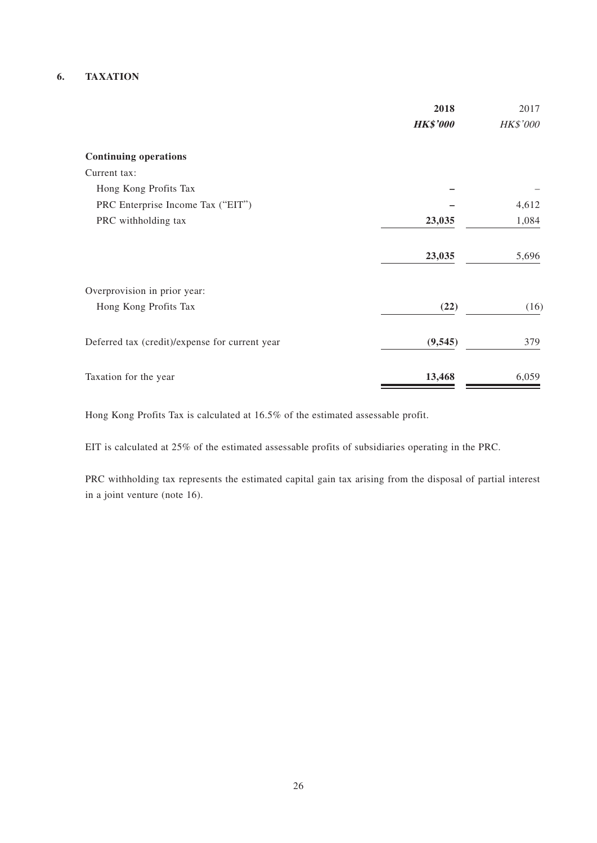### **6. TAXATION**

|                                                | 2018            | 2017     |
|------------------------------------------------|-----------------|----------|
|                                                | <b>HK\$'000</b> | HK\$'000 |
| <b>Continuing operations</b>                   |                 |          |
| Current tax:                                   |                 |          |
| Hong Kong Profits Tax                          |                 |          |
| PRC Enterprise Income Tax ("EIT")              |                 | 4,612    |
| PRC withholding tax                            | 23,035          | 1,084    |
|                                                | 23,035          | 5,696    |
| Overprovision in prior year:                   |                 |          |
| Hong Kong Profits Tax                          | (22)            | (16)     |
| Deferred tax (credit)/expense for current year | (9, 545)        | 379      |
| Taxation for the year                          | 13,468          | 6,059    |

Hong Kong Profits Tax is calculated at 16.5% of the estimated assessable profit.

EIT is calculated at 25% of the estimated assessable profits of subsidiaries operating in the PRC.

PRC withholding tax represents the estimated capital gain tax arising from the disposal of partial interest in a joint venture (note 16).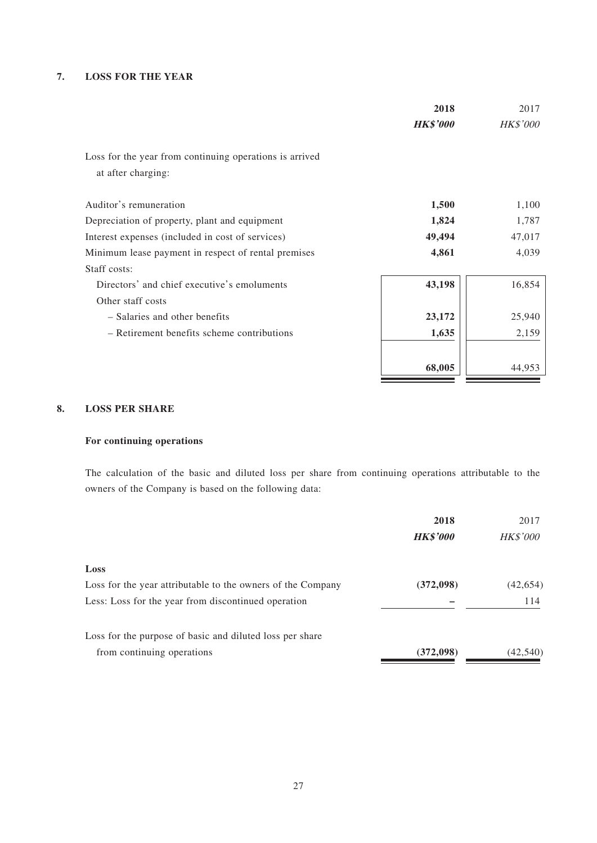### **7. LOSS FOR THE YEAR**

|                                                                               | 2018            | 2017            |
|-------------------------------------------------------------------------------|-----------------|-----------------|
|                                                                               | <b>HK\$'000</b> | <b>HK\$'000</b> |
| Loss for the year from continuing operations is arrived<br>at after charging: |                 |                 |
| Auditor's remuneration                                                        | 1,500           | 1,100           |
| Depreciation of property, plant and equipment                                 | 1,824           | 1,787           |
| Interest expenses (included in cost of services)                              | 49,494          | 47,017          |
| Minimum lease payment in respect of rental premises                           | 4,861           | 4,039           |
| Staff costs:                                                                  |                 |                 |
| Directors' and chief executive's emoluments                                   | 43,198          | 16,854          |
| Other staff costs                                                             |                 |                 |
| - Salaries and other benefits                                                 | 23,172          | 25,940          |
| - Retirement benefits scheme contributions                                    | 1,635           | 2,159           |
|                                                                               | 68,005          | 44,953          |

### **8. LOSS PER SHARE**

## **For continuing operations**

The calculation of the basic and diluted loss per share from continuing operations attributable to the owners of the Company is based on the following data:

|                                                             | 2018            | 2017            |
|-------------------------------------------------------------|-----------------|-----------------|
|                                                             | <b>HK\$'000</b> | <b>HK\$'000</b> |
| Loss                                                        |                 |                 |
| Loss for the year attributable to the owners of the Company | (372,098)       | (42, 654)       |
| Less: Loss for the year from discontinued operation         |                 | 114             |
| Loss for the purpose of basic and diluted loss per share    |                 |                 |
| from continuing operations                                  | (372,098)       | (42,540)        |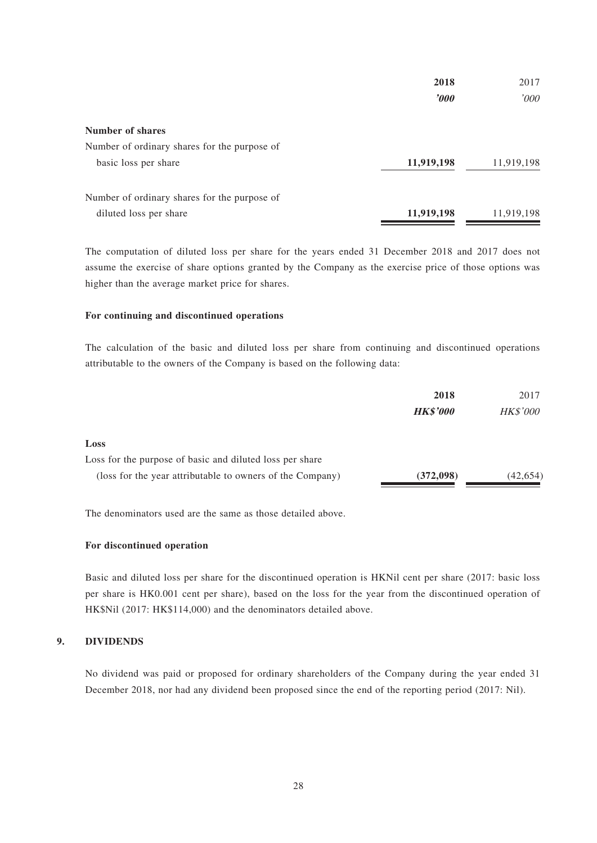|                                              | 2018       | 2017       |
|----------------------------------------------|------------|------------|
|                                              | $\bm{v}$   | '000       |
| Number of shares                             |            |            |
| Number of ordinary shares for the purpose of |            |            |
| basic loss per share                         | 11,919,198 | 11,919,198 |
| Number of ordinary shares for the purpose of |            |            |
| diluted loss per share                       | 11,919,198 | 11,919,198 |

The computation of diluted loss per share for the years ended 31 December 2018 and 2017 does not assume the exercise of share options granted by the Company as the exercise price of those options was higher than the average market price for shares.

#### **For continuing and discontinued operations**

The calculation of the basic and diluted loss per share from continuing and discontinued operations attributable to the owners of the Company is based on the following data:

| 2018            | 2017            |
|-----------------|-----------------|
| <b>HK\$'000</b> | <b>HK\$'000</b> |
|                 |                 |
|                 |                 |
| (372,098)       | (42, 654)       |
|                 |                 |

The denominators used are the same as those detailed above.

#### **For discontinued operation**

Basic and diluted loss per share for the discontinued operation is HKNil cent per share (2017: basic loss per share is HK0.001 cent per share), based on the loss for the year from the discontinued operation of HK\$Nil (2017: HK\$114,000) and the denominators detailed above.

#### **9. DIVIDENDS**

No dividend was paid or proposed for ordinary shareholders of the Company during the year ended 31 December 2018, nor had any dividend been proposed since the end of the reporting period (2017: Nil).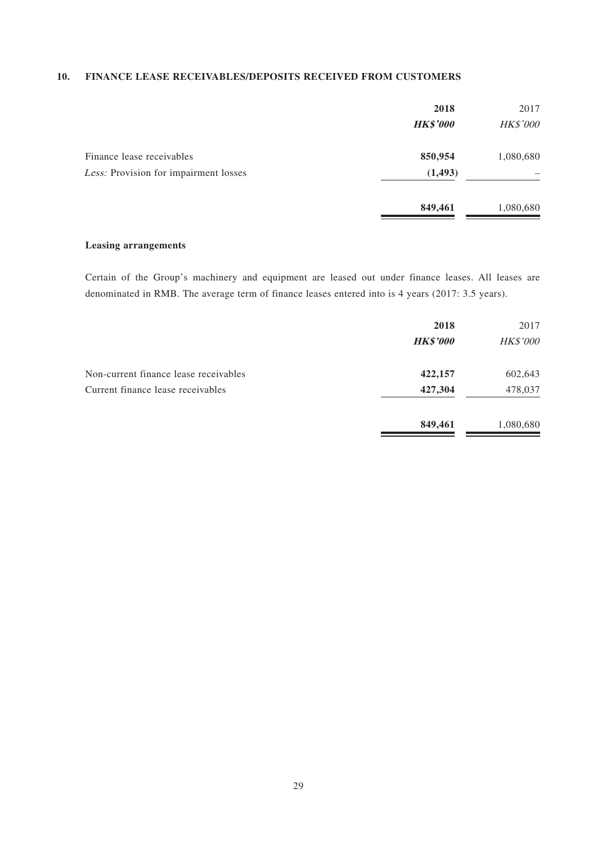### **10. FINANCE LEASE RECEIVABLES/DEPOSITS RECEIVED FROM CUSTOMERS**

|                                                                    | 2018<br><b>HK\$'000</b> | 2017<br>HK\$'000 |
|--------------------------------------------------------------------|-------------------------|------------------|
| Finance lease receivables<br>Less: Provision for impairment losses | 850,954<br>(1, 493)     | 1,080,680        |
|                                                                    | 849,461                 | 1,080,680        |

### **Leasing arrangements**

Certain of the Group's machinery and equipment are leased out under finance leases. All leases are denominated in RMB. The average term of finance leases entered into is 4 years (2017: 3.5 years).

|                                       | 2018<br><b>HK\$'000</b> | 2017<br>HK\$'000 |
|---------------------------------------|-------------------------|------------------|
| Non-current finance lease receivables | 422,157                 | 602,643          |
| Current finance lease receivables     | 427,304                 | 478,037          |
|                                       | 849,461                 | 1,080,680        |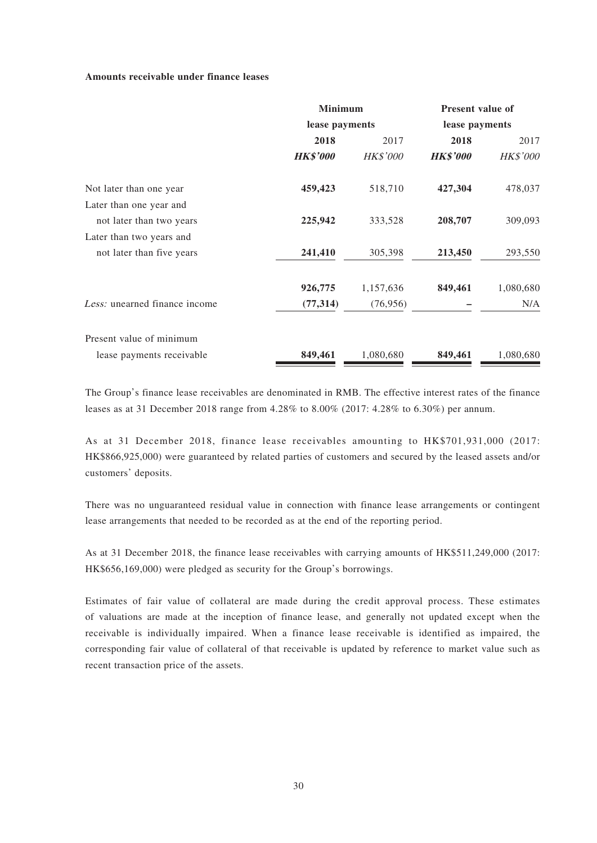#### **Amounts receivable under finance leases**

|                               | <b>Minimum</b>  |                 | <b>Present value of</b> |                 |
|-------------------------------|-----------------|-----------------|-------------------------|-----------------|
|                               | lease payments  |                 | lease payments          |                 |
|                               | 2018            | 2017            | 2018                    | 2017            |
|                               | <b>HK\$'000</b> | <b>HK\$'000</b> | <b>HK\$'000</b>         | <b>HK\$'000</b> |
| Not later than one year       | 459,423         | 518,710         | 427,304                 | 478,037         |
| Later than one year and       |                 |                 |                         |                 |
| not later than two years      | 225,942         | 333,528         | 208,707                 | 309,093         |
| Later than two years and      |                 |                 |                         |                 |
| not later than five years     | 241,410         | 305,398         | 213,450                 | 293,550         |
|                               | 926,775         | 1,157,636       | 849,461                 | 1,080,680       |
| Less: unearned finance income | (77, 314)       | (76, 956)       |                         | N/A             |
| Present value of minimum      |                 |                 |                         |                 |
| lease payments receivable     | 849,461         | 1,080,680       | 849,461                 | 1,080,680       |

The Group's finance lease receivables are denominated in RMB. The effective interest rates of the finance leases as at 31 December 2018 range from 4.28% to 8.00% (2017: 4.28% to 6.30%) per annum.

As at 31 December 2018, finance lease receivables amounting to HK\$701,931,000 (2017: HK\$866,925,000) were guaranteed by related parties of customers and secured by the leased assets and/or customers' deposits.

There was no unguaranteed residual value in connection with finance lease arrangements or contingent lease arrangements that needed to be recorded as at the end of the reporting period.

As at 31 December 2018, the finance lease receivables with carrying amounts of HK\$511,249,000 (2017: HK\$656,169,000) were pledged as security for the Group's borrowings.

Estimates of fair value of collateral are made during the credit approval process. These estimates of valuations are made at the inception of finance lease, and generally not updated except when the receivable is individually impaired. When a finance lease receivable is identified as impaired, the corresponding fair value of collateral of that receivable is updated by reference to market value such as recent transaction price of the assets.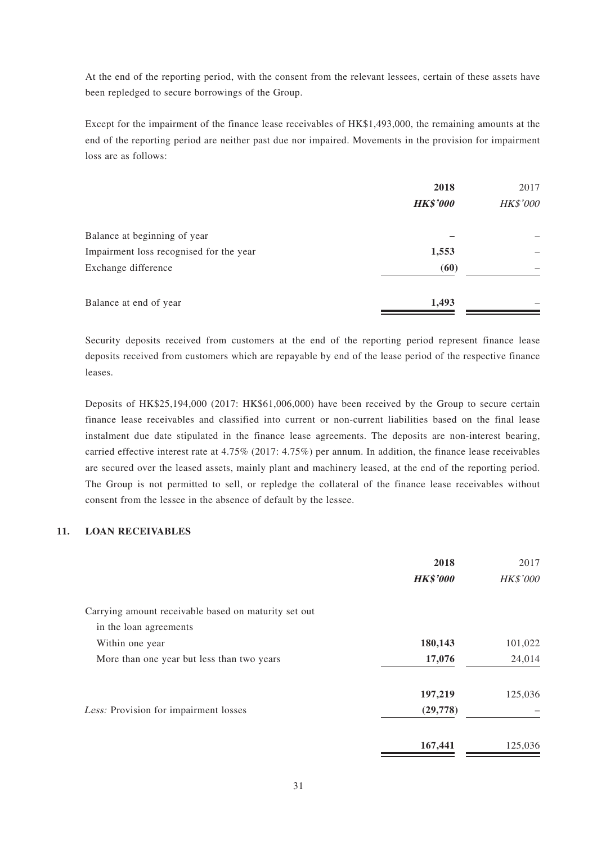At the end of the reporting period, with the consent from the relevant lessees, certain of these assets have been repledged to secure borrowings of the Group.

Except for the impairment of the finance lease receivables of HK\$1,493,000, the remaining amounts at the end of the reporting period are neither past due nor impaired. Movements in the provision for impairment loss are as follows:

|                                         | 2018<br><b>HK\$'000</b> | 2017<br>HK\$'000 |
|-----------------------------------------|-------------------------|------------------|
| Balance at beginning of year            |                         |                  |
| Impairment loss recognised for the year | 1,553                   |                  |
| Exchange difference                     | (60)                    |                  |
| Balance at end of year                  | 1,493                   |                  |

Security deposits received from customers at the end of the reporting period represent finance lease deposits received from customers which are repayable by end of the lease period of the respective finance leases.

Deposits of HK\$25,194,000 (2017: HK\$61,006,000) have been received by the Group to secure certain finance lease receivables and classified into current or non-current liabilities based on the final lease instalment due date stipulated in the finance lease agreements. The deposits are non-interest bearing, carried effective interest rate at 4.75% (2017: 4.75%) per annum. In addition, the finance lease receivables are secured over the leased assets, mainly plant and machinery leased, at the end of the reporting period. The Group is not permitted to sell, or repledge the collateral of the finance lease receivables without consent from the lessee in the absence of default by the lessee.

### **11. LOAN RECEIVABLES**

|                                                      | 2018            | 2017            |
|------------------------------------------------------|-----------------|-----------------|
|                                                      | <b>HK\$'000</b> | <b>HK\$'000</b> |
| Carrying amount receivable based on maturity set out |                 |                 |
| in the loan agreements                               |                 |                 |
| Within one year                                      | 180,143         | 101,022         |
| More than one year but less than two years           | 17,076          | 24,014          |
|                                                      | 197,219         | 125,036         |
| Less: Provision for impairment losses                | (29,778)        |                 |
|                                                      | 167,441         | 125,036         |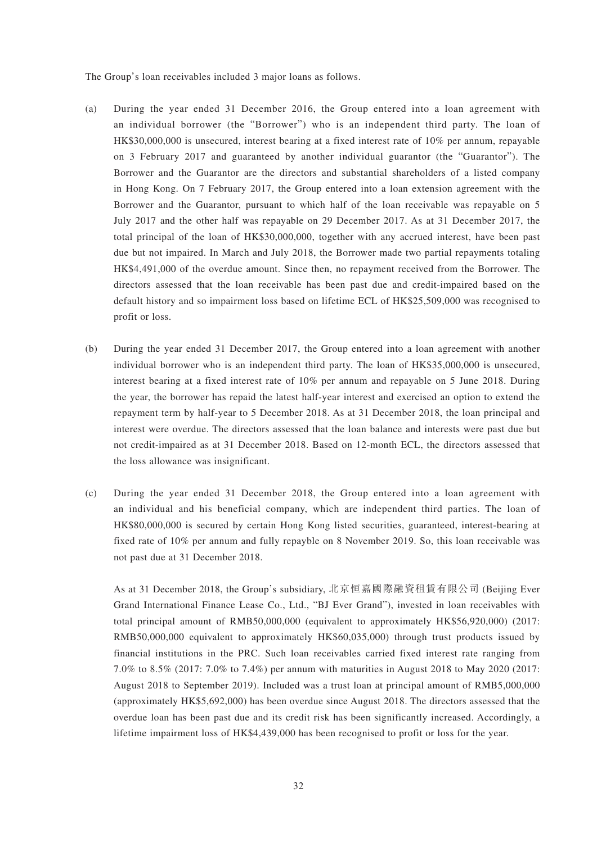The Group's loan receivables included 3 major loans as follows.

- (a) During the year ended 31 December 2016, the Group entered into a loan agreement with an individual borrower (the "Borrower") who is an independent third party. The loan of HK\$30,000,000 is unsecured, interest bearing at a fixed interest rate of 10% per annum, repayable on 3 February 2017 and guaranteed by another individual guarantor (the "Guarantor"). The Borrower and the Guarantor are the directors and substantial shareholders of a listed company in Hong Kong. On 7 February 2017, the Group entered into a loan extension agreement with the Borrower and the Guarantor, pursuant to which half of the loan receivable was repayable on 5 July 2017 and the other half was repayable on 29 December 2017. As at 31 December 2017, the total principal of the loan of HK\$30,000,000, together with any accrued interest, have been past due but not impaired. In March and July 2018, the Borrower made two partial repayments totaling HK\$4,491,000 of the overdue amount. Since then, no repayment received from the Borrower. The directors assessed that the loan receivable has been past due and credit-impaired based on the default history and so impairment loss based on lifetime ECL of HK\$25,509,000 was recognised to profit or loss.
- (b) During the year ended 31 December 2017, the Group entered into a loan agreement with another individual borrower who is an independent third party. The loan of HK\$35,000,000 is unsecured, interest bearing at a fixed interest rate of 10% per annum and repayable on 5 June 2018. During the year, the borrower has repaid the latest half-year interest and exercised an option to extend the repayment term by half-year to 5 December 2018. As at 31 December 2018, the loan principal and interest were overdue. The directors assessed that the loan balance and interests were past due but not credit-impaired as at 31 December 2018. Based on 12-month ECL, the directors assessed that the loss allowance was insignificant.
- (c) During the year ended 31 December 2018, the Group entered into a loan agreement with an individual and his beneficial company, which are independent third parties. The loan of HK\$80,000,000 is secured by certain Hong Kong listed securities, guaranteed, interest-bearing at fixed rate of 10% per annum and fully repayble on 8 November 2019. So, this loan receivable was not past due at 31 December 2018.

As at 31 December 2018, the Group's subsidiary, 北京恒嘉國際融資租賃有限公司 (Beijing Ever Grand International Finance Lease Co., Ltd., "BJ Ever Grand"), invested in loan receivables with total principal amount of RMB50,000,000 (equivalent to approximately HK\$56,920,000) (2017: RMB50,000,000 equivalent to approximately HK\$60,035,000) through trust products issued by financial institutions in the PRC. Such loan receivables carried fixed interest rate ranging from 7.0% to 8.5% (2017: 7.0% to 7.4%) per annum with maturities in August 2018 to May 2020 (2017: August 2018 to September 2019). Included was a trust loan at principal amount of RMB5,000,000 (approximately HK\$5,692,000) has been overdue since August 2018. The directors assessed that the overdue loan has been past due and its credit risk has been significantly increased. Accordingly, a lifetime impairment loss of HK\$4,439,000 has been recognised to profit or loss for the year.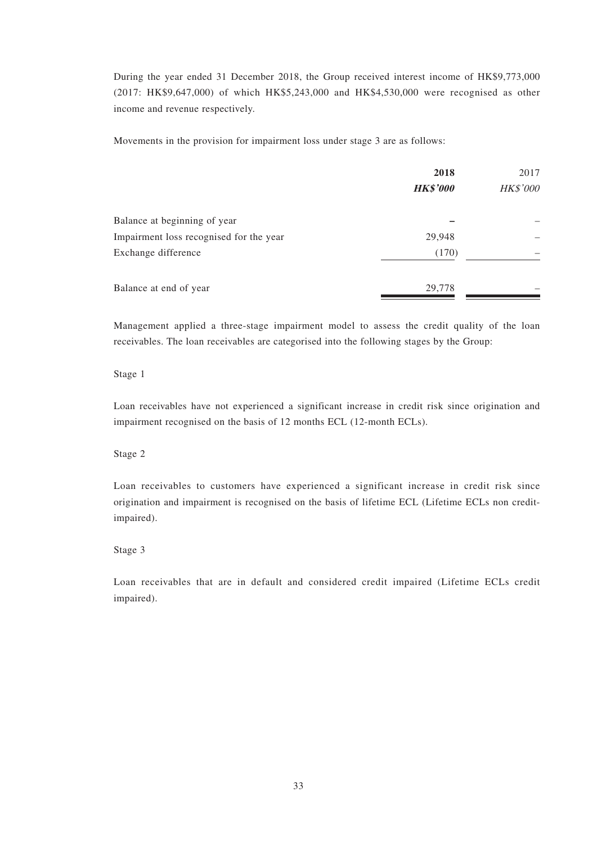During the year ended 31 December 2018, the Group received interest income of HK\$9,773,000 (2017: HK\$9,647,000) of which HK\$5,243,000 and HK\$4,530,000 were recognised as other income and revenue respectively.

Movements in the provision for impairment loss under stage 3 are as follows:

|                                         | 2018            | 2017     |
|-----------------------------------------|-----------------|----------|
|                                         | <b>HK\$'000</b> | HK\$'000 |
| Balance at beginning of year            |                 |          |
| Impairment loss recognised for the year | 29,948          |          |
| Exchange difference                     | (170)           |          |
| Balance at end of year                  | 29,778          |          |

Management applied a three-stage impairment model to assess the credit quality of the loan receivables. The loan receivables are categorised into the following stages by the Group:

#### Stage 1

Loan receivables have not experienced a significant increase in credit risk since origination and impairment recognised on the basis of 12 months ECL (12-month ECLs).

### Stage 2

Loan receivables to customers have experienced a significant increase in credit risk since origination and impairment is recognised on the basis of lifetime ECL (Lifetime ECLs non creditimpaired).

#### Stage 3

Loan receivables that are in default and considered credit impaired (Lifetime ECLs credit impaired).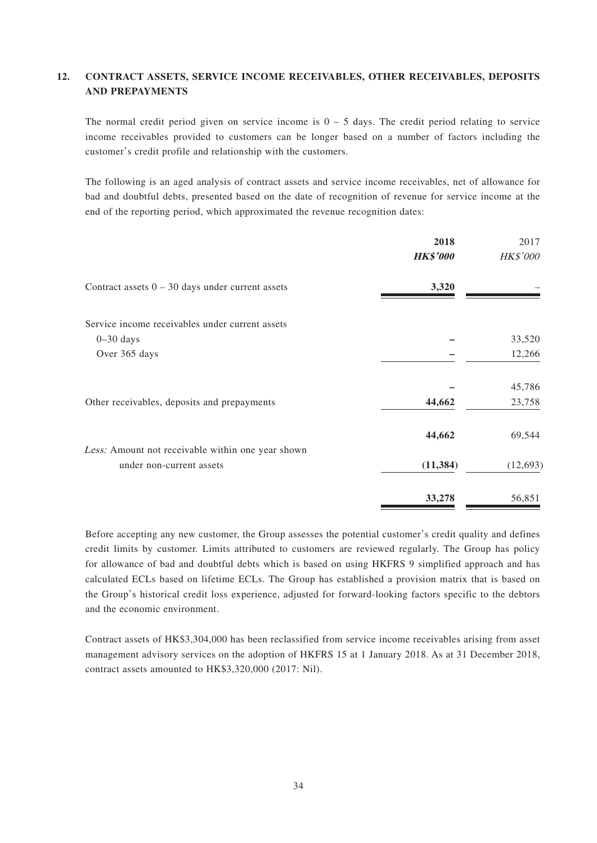## **12. CONTRACT ASSETS, SERVICE INCOME RECEIVABLES, OTHER RECEIVABLES, DEPOSITS AND PREPAYMENTS**

The normal credit period given on service income is  $0 - 5$  days. The credit period relating to service income receivables provided to customers can be longer based on a number of factors including the customer's credit profile and relationship with the customers.

The following is an aged analysis of contract assets and service income receivables, net of allowance for bad and doubtful debts, presented based on the date of recognition of revenue for service income at the end of the reporting period, which approximated the revenue recognition dates:

|                                                    | 2018            | 2017            |
|----------------------------------------------------|-----------------|-----------------|
|                                                    | <b>HK\$'000</b> | <b>HK\$'000</b> |
| Contract assets $0 - 30$ days under current assets | 3,320           |                 |
| Service income receivables under current assets    |                 |                 |
| $0 - 30$ days                                      |                 | 33,520          |
| Over 365 days                                      |                 | 12,266          |
|                                                    |                 | 45,786          |
| Other receivables, deposits and prepayments        | 44,662          | 23,758          |
|                                                    | 44,662          | 69,544          |
| Less: Amount not receivable within one year shown  |                 |                 |
| under non-current assets                           | (11, 384)       | (12, 693)       |
|                                                    | 33,278          | 56,851          |

Before accepting any new customer, the Group assesses the potential customer's credit quality and defines credit limits by customer. Limits attributed to customers are reviewed regularly. The Group has policy for allowance of bad and doubtful debts which is based on using HKFRS 9 simplified approach and has calculated ECLs based on lifetime ECLs. The Group has established a provision matrix that is based on the Group's historical credit loss experience, adjusted for forward-looking factors specific to the debtors and the economic environment.

Contract assets of HK\$3,304,000 has been reclassified from service income receivables arising from asset management advisory services on the adoption of HKFRS 15 at 1 January 2018. As at 31 December 2018, contract assets amounted to HK\$3,320,000 (2017: Nil).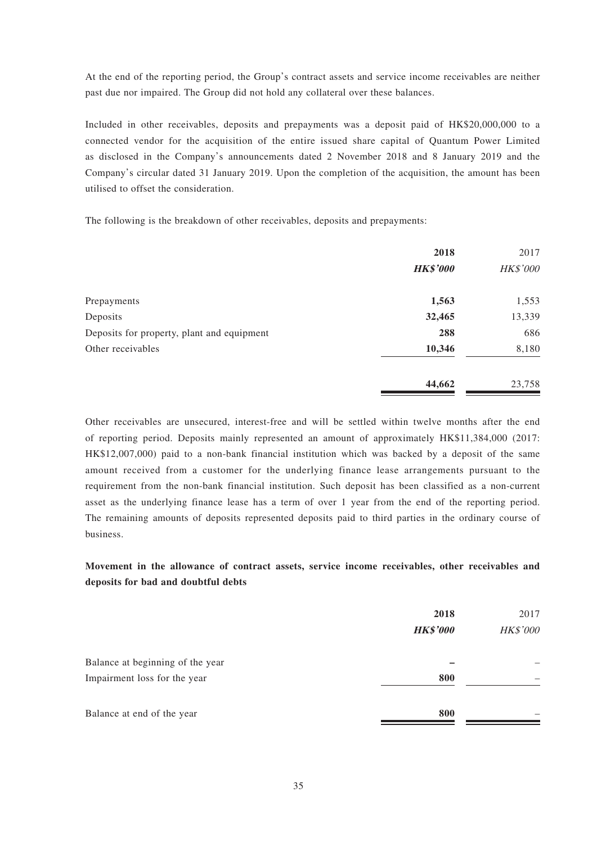At the end of the reporting period, the Group's contract assets and service income receivables are neither past due nor impaired. The Group did not hold any collateral over these balances.

Included in other receivables, deposits and prepayments was a deposit paid of HK\$20,000,000 to a connected vendor for the acquisition of the entire issued share capital of Quantum Power Limited as disclosed in the Company's announcements dated 2 November 2018 and 8 January 2019 and the Company's circular dated 31 January 2019. Upon the completion of the acquisition, the amount has been utilised to offset the consideration.

The following is the breakdown of other receivables, deposits and prepayments:

|                                            | 2018<br><b>HK\$'000</b> | 2017<br>HK\$'000 |
|--------------------------------------------|-------------------------|------------------|
| Prepayments                                | 1,563                   | 1,553            |
| Deposits                                   | 32,465                  | 13,339           |
| Deposits for property, plant and equipment | 288                     | 686              |
| Other receivables                          | 10,346                  | 8,180            |
|                                            | 44,662                  | 23,758           |

Other receivables are unsecured, interest-free and will be settled within twelve months after the end of reporting period. Deposits mainly represented an amount of approximately HK\$11,384,000 (2017: HK\$12,007,000) paid to a non-bank financial institution which was backed by a deposit of the same amount received from a customer for the underlying finance lease arrangements pursuant to the requirement from the non-bank financial institution. Such deposit has been classified as a non-current asset as the underlying finance lease has a term of over 1 year from the end of the reporting period. The remaining amounts of deposits represented deposits paid to third parties in the ordinary course of business.

## **Movement in the allowance of contract assets, service income receivables, other receivables and deposits for bad and doubtful debts**

|                                  | 2018<br><b>HK\$'000</b> | 2017<br>HK\$'000 |
|----------------------------------|-------------------------|------------------|
| Balance at beginning of the year |                         |                  |
| Impairment loss for the year     | 800                     |                  |
| Balance at end of the year       | 800                     |                  |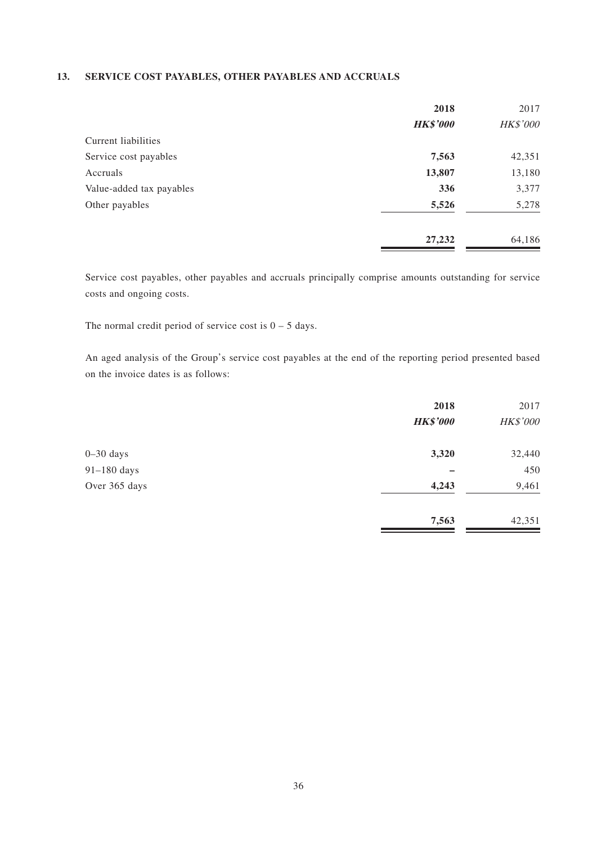### **13. SERVICE COST PAYABLES, OTHER PAYABLES AND ACCRUALS**

|                          | 2018            | 2017     |
|--------------------------|-----------------|----------|
|                          | <b>HK\$'000</b> | HK\$'000 |
| Current liabilities      |                 |          |
| Service cost payables    | 7,563           | 42,351   |
| Accruals                 | 13,807          | 13,180   |
| Value-added tax payables | 336             | 3,377    |
| Other payables           | 5,526           | 5,278    |
|                          | 27,232          | 64,186   |

Service cost payables, other payables and accruals principally comprise amounts outstanding for service costs and ongoing costs.

The normal credit period of service cost is  $0 - 5$  days.

An aged analysis of the Group's service cost payables at the end of the reporting period presented based on the invoice dates is as follows:

|               | 2018            | 2017     |
|---------------|-----------------|----------|
|               | <b>HK\$'000</b> | HK\$'000 |
| $0 - 30$ days | 3,320           | 32,440   |
| $91-180$ days |                 | 450      |
| Over 365 days | 4,243           | 9,461    |
|               | 7,563           | 42,351   |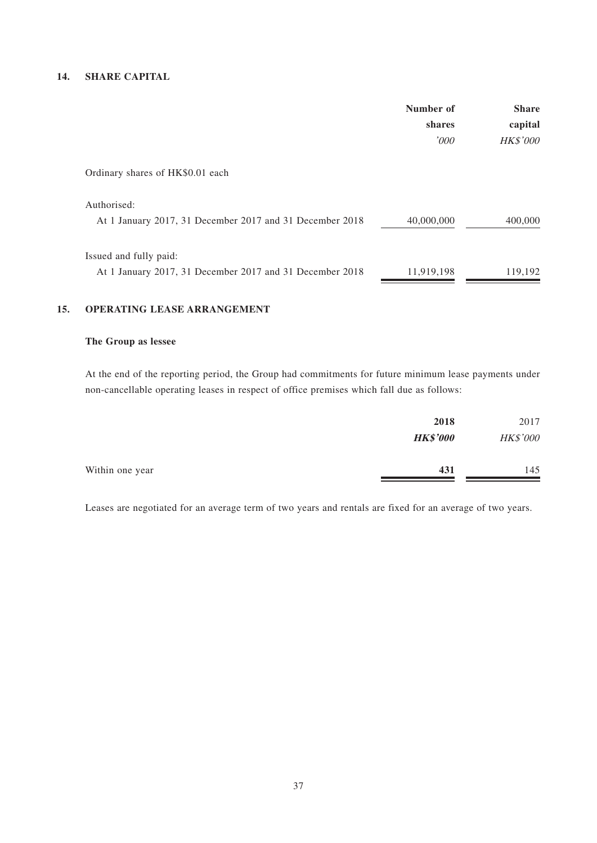## **14. SHARE CAPITAL**

|                                                          | Number of<br>shares<br>'000 | <b>Share</b><br>capital<br><b>HK\$'000</b> |
|----------------------------------------------------------|-----------------------------|--------------------------------------------|
|                                                          |                             |                                            |
|                                                          |                             |                                            |
| Ordinary shares of HK\$0.01 each                         |                             |                                            |
| Authorised:                                              |                             |                                            |
| At 1 January 2017, 31 December 2017 and 31 December 2018 | 40,000,000                  | 400,000                                    |
| Issued and fully paid:                                   |                             |                                            |
| At 1 January 2017, 31 December 2017 and 31 December 2018 | 11,919,198                  | 119,192                                    |

### **15. OPERATING LEASE ARRANGEMENT**

### **The Group as lessee**

At the end of the reporting period, the Group had commitments for future minimum lease payments under non-cancellable operating leases in respect of office premises which fall due as follows:

| 2018            | 2017     |
|-----------------|----------|
| <b>HK\$'000</b> | HK\$'000 |
| 431             | 145      |
|                 |          |

Leases are negotiated for an average term of two years and rentals are fixed for an average of two years.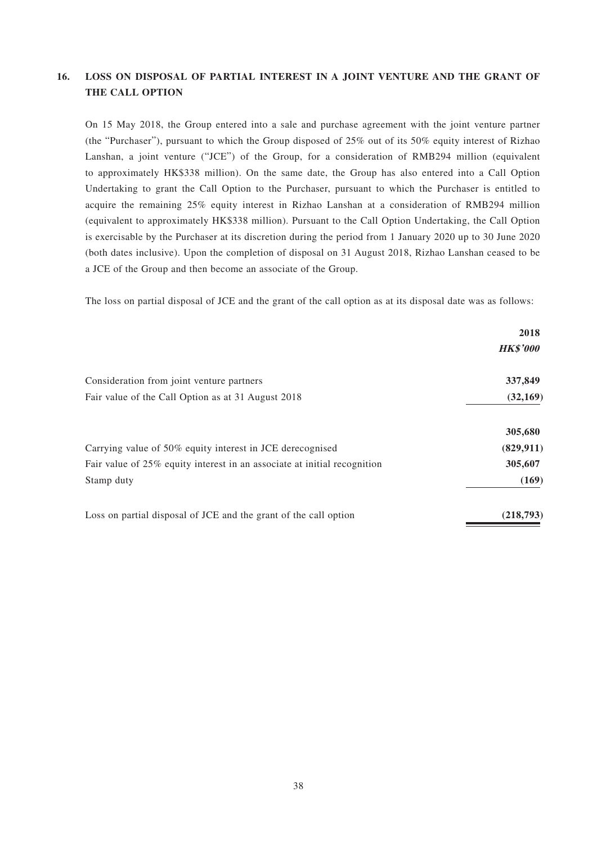## **16. LOSS ON DISPOSAL OF PARTIAL INTEREST IN A JOINT VENTURE AND THE GRANT OF THE CALL OPTION**

On 15 May 2018, the Group entered into a sale and purchase agreement with the joint venture partner (the "Purchaser"), pursuant to which the Group disposed of 25% out of its 50% equity interest of Rizhao Lanshan, a joint venture ("JCE") of the Group, for a consideration of RMB294 million (equivalent to approximately HK\$338 million). On the same date, the Group has also entered into a Call Option Undertaking to grant the Call Option to the Purchaser, pursuant to which the Purchaser is entitled to acquire the remaining 25% equity interest in Rizhao Lanshan at a consideration of RMB294 million (equivalent to approximately HK\$338 million). Pursuant to the Call Option Undertaking, the Call Option is exercisable by the Purchaser at its discretion during the period from 1 January 2020 up to 30 June 2020 (both dates inclusive). Upon the completion of disposal on 31 August 2018, Rizhao Lanshan ceased to be a JCE of the Group and then become an associate of the Group.

The loss on partial disposal of JCE and the grant of the call option as at its disposal date was as follows:

|                                                                          | 2018            |
|--------------------------------------------------------------------------|-----------------|
|                                                                          | <b>HK\$'000</b> |
| Consideration from joint venture partners                                | 337,849         |
| Fair value of the Call Option as at 31 August 2018                       | (32, 169)       |
|                                                                          | 305,680         |
| Carrying value of 50% equity interest in JCE derecognised                | (829, 911)      |
| Fair value of 25% equity interest in an associate at initial recognition | 305,607         |
| Stamp duty                                                               | (169)           |
| Loss on partial disposal of JCE and the grant of the call option         | (218,793)       |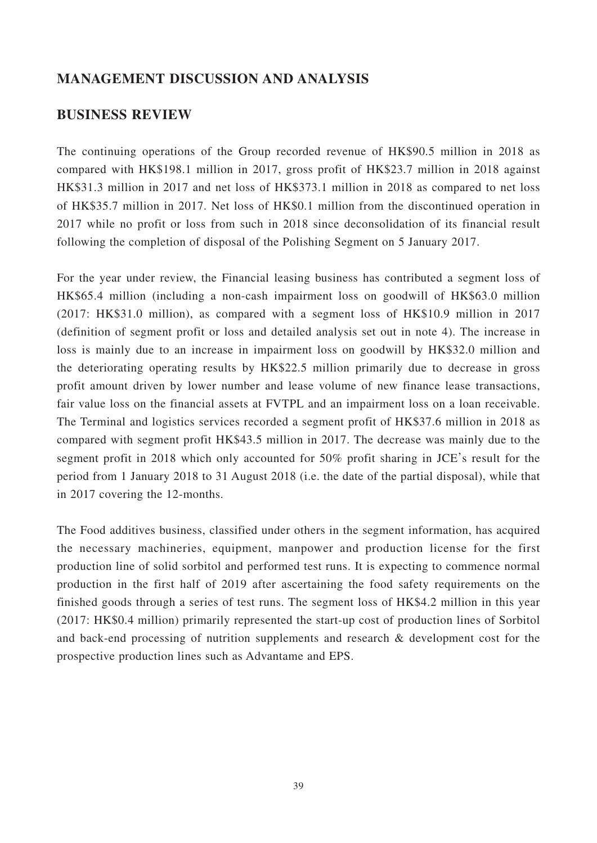# **MANAGEMENT DISCUSSION AND ANALYSIS**

## **BUSINESS REVIEW**

The continuing operations of the Group recorded revenue of HK\$90.5 million in 2018 as compared with HK\$198.1 million in 2017, gross profit of HK\$23.7 million in 2018 against HK\$31.3 million in 2017 and net loss of HK\$373.1 million in 2018 as compared to net loss of HK\$35.7 million in 2017. Net loss of HK\$0.1 million from the discontinued operation in 2017 while no profit or loss from such in 2018 since deconsolidation of its financial result following the completion of disposal of the Polishing Segment on 5 January 2017.

For the year under review, the Financial leasing business has contributed a segment loss of HK\$65.4 million (including a non-cash impairment loss on goodwill of HK\$63.0 million (2017: HK\$31.0 million), as compared with a segment loss of HK\$10.9 million in 2017 (definition of segment profit or loss and detailed analysis set out in note 4). The increase in loss is mainly due to an increase in impairment loss on goodwill by HK\$32.0 million and the deteriorating operating results by HK\$22.5 million primarily due to decrease in gross profit amount driven by lower number and lease volume of new finance lease transactions, fair value loss on the financial assets at FVTPL and an impairment loss on a loan receivable. The Terminal and logistics services recorded a segment profit of HK\$37.6 million in 2018 as compared with segment profit HK\$43.5 million in 2017. The decrease was mainly due to the segment profit in 2018 which only accounted for 50% profit sharing in JCE's result for the period from 1 January 2018 to 31 August 2018 (i.e. the date of the partial disposal), while that in 2017 covering the 12-months.

The Food additives business, classified under others in the segment information, has acquired the necessary machineries, equipment, manpower and production license for the first production line of solid sorbitol and performed test runs. It is expecting to commence normal production in the first half of 2019 after ascertaining the food safety requirements on the finished goods through a series of test runs. The segment loss of HK\$4.2 million in this year (2017: HK\$0.4 million) primarily represented the start-up cost of production lines of Sorbitol and back-end processing of nutrition supplements and research & development cost for the prospective production lines such as Advantame and EPS.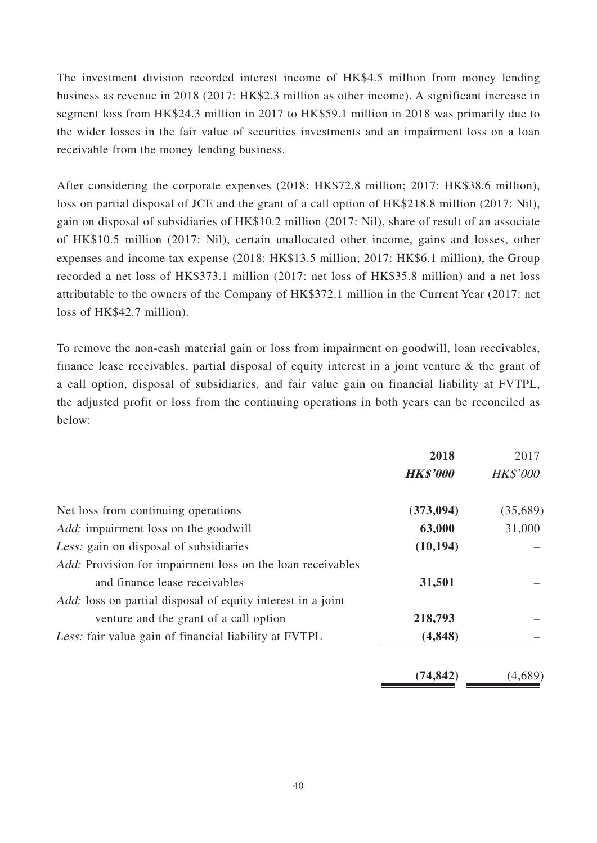The investment division recorded interest income of HK\$4.5 million from money lending business as revenue in 2018 (2017: HK\$2.3 million as other income). A significant increase in segment loss from HK\$24.3 million in 2017 to HK\$59.1 million in 2018 was primarily due to the wider losses in the fair value of securities investments and an impairment loss on a loan receivable from the money lending business.

After considering the corporate expenses (2018: HK\$72.8 million; 2017: HK\$38.6 million), loss on partial disposal of JCE and the grant of a call option of HK\$218.8 million (2017: Nil), gain on disposal of subsidiaries of HK\$10.2 million (2017: Nil), share of result of an associate of HK\$10.5 million (2017: Nil), certain unallocated other income, gains and losses, other expenses and income tax expense (2018: HK\$13.5 million; 2017: HK\$6.1 million), the Group recorded a net loss of HK\$373.1 million (2017: net loss of HK\$35.8 million) and a net loss attributable to the owners of the Company of HK\$372.1 million in the Current Year (2017: net loss of HK\$42.7 million).

To remove the non-cash material gain or loss from impairment on goodwill, loan receivables, finance lease receivables, partial disposal of equity interest in a joint venture & the grant of a call option, disposal of subsidiaries, and fair value gain on financial liability at FVTPL, the adjusted profit or loss from the continuing operations in both years can be reconciled as below:

|                                                                    | 2018            | 2017            |
|--------------------------------------------------------------------|-----------------|-----------------|
|                                                                    | <b>HK\$'000</b> | <b>HK\$'000</b> |
| Net loss from continuing operations                                | (373, 094)      | (35,689)        |
| <i>Add:</i> impairment loss on the goodwill                        | 63,000          | 31,000          |
| Less: gain on disposal of subsidiaries                             | (10, 194)       |                 |
| Add: Provision for impairment loss on the loan receivables         |                 |                 |
| and finance lease receivables                                      | 31,501          |                 |
| <i>Add:</i> loss on partial disposal of equity interest in a joint |                 |                 |
| venture and the grant of a call option                             | 218,793         |                 |
| Less: fair value gain of financial liability at FVTPL<br>(4,848)   |                 |                 |
|                                                                    | (74, 842)       | (4,689)         |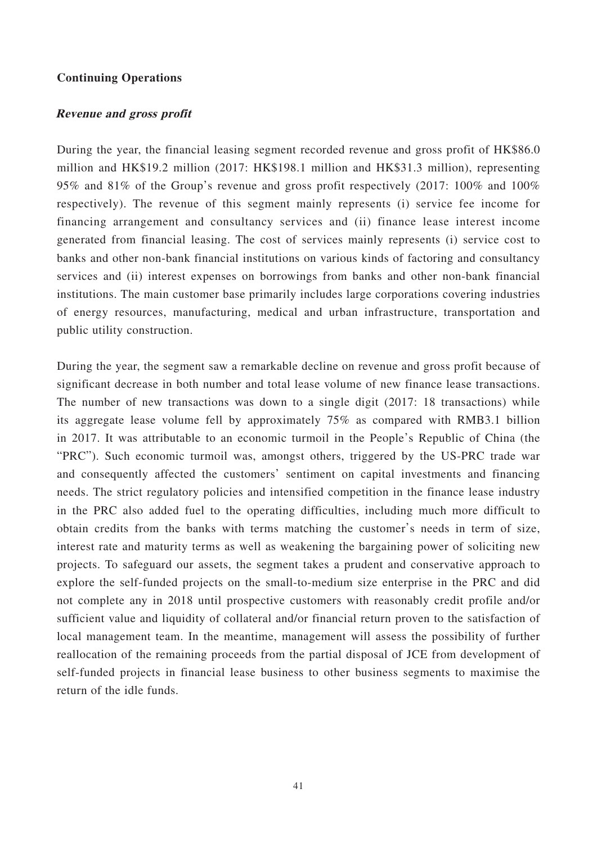### **Continuing Operations**

### **Revenue and gross profit**

During the year, the financial leasing segment recorded revenue and gross profit of HK\$86.0 million and HK\$19.2 million (2017: HK\$198.1 million and HK\$31.3 million), representing 95% and 81% of the Group's revenue and gross profit respectively (2017: 100% and 100% respectively). The revenue of this segment mainly represents (i) service fee income for financing arrangement and consultancy services and (ii) finance lease interest income generated from financial leasing. The cost of services mainly represents (i) service cost to banks and other non-bank financial institutions on various kinds of factoring and consultancy services and (ii) interest expenses on borrowings from banks and other non-bank financial institutions. The main customer base primarily includes large corporations covering industries of energy resources, manufacturing, medical and urban infrastructure, transportation and public utility construction.

During the year, the segment saw a remarkable decline on revenue and gross profit because of significant decrease in both number and total lease volume of new finance lease transactions. The number of new transactions was down to a single digit (2017: 18 transactions) while its aggregate lease volume fell by approximately 75% as compared with RMB3.1 billion in 2017. It was attributable to an economic turmoil in the People's Republic of China (the "PRC"). Such economic turmoil was, amongst others, triggered by the US-PRC trade war and consequently affected the customers' sentiment on capital investments and financing needs. The strict regulatory policies and intensified competition in the finance lease industry in the PRC also added fuel to the operating difficulties, including much more difficult to obtain credits from the banks with terms matching the customer's needs in term of size, interest rate and maturity terms as well as weakening the bargaining power of soliciting new projects. To safeguard our assets, the segment takes a prudent and conservative approach to explore the self-funded projects on the small-to-medium size enterprise in the PRC and did not complete any in 2018 until prospective customers with reasonably credit profile and/or sufficient value and liquidity of collateral and/or financial return proven to the satisfaction of local management team. In the meantime, management will assess the possibility of further reallocation of the remaining proceeds from the partial disposal of JCE from development of self-funded projects in financial lease business to other business segments to maximise the return of the idle funds.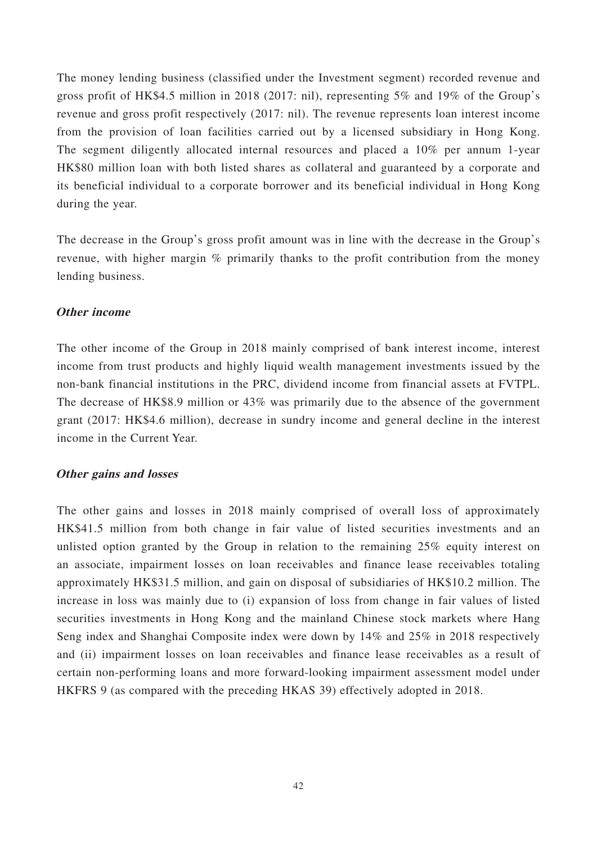The money lending business (classified under the Investment segment) recorded revenue and gross profit of HK\$4.5 million in 2018 (2017: nil), representing 5% and 19% of the Group's revenue and gross profit respectively (2017: nil). The revenue represents loan interest income from the provision of loan facilities carried out by a licensed subsidiary in Hong Kong. The segment diligently allocated internal resources and placed a 10% per annum 1-year HK\$80 million loan with both listed shares as collateral and guaranteed by a corporate and its beneficial individual to a corporate borrower and its beneficial individual in Hong Kong during the year.

The decrease in the Group's gross profit amount was in line with the decrease in the Group's revenue, with higher margin % primarily thanks to the profit contribution from the money lending business.

## **Other income**

The other income of the Group in 2018 mainly comprised of bank interest income, interest income from trust products and highly liquid wealth management investments issued by the non-bank financial institutions in the PRC, dividend income from financial assets at FVTPL. The decrease of HK\$8.9 million or 43% was primarily due to the absence of the government grant (2017: HK\$4.6 million), decrease in sundry income and general decline in the interest income in the Current Year.

### **Other gains and losses**

The other gains and losses in 2018 mainly comprised of overall loss of approximately HK\$41.5 million from both change in fair value of listed securities investments and an unlisted option granted by the Group in relation to the remaining 25% equity interest on an associate, impairment losses on loan receivables and finance lease receivables totaling approximately HK\$31.5 million, and gain on disposal of subsidiaries of HK\$10.2 million. The increase in loss was mainly due to (i) expansion of loss from change in fair values of listed securities investments in Hong Kong and the mainland Chinese stock markets where Hang Seng index and Shanghai Composite index were down by 14% and 25% in 2018 respectively and (ii) impairment losses on loan receivables and finance lease receivables as a result of certain non-performing loans and more forward-looking impairment assessment model under HKFRS 9 (as compared with the preceding HKAS 39) effectively adopted in 2018.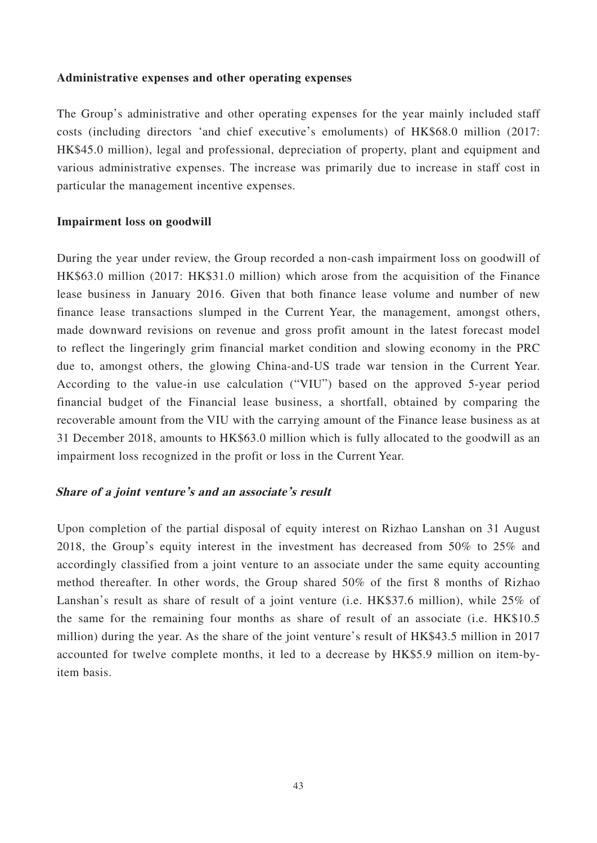## **Administrative expenses and other operating expenses**

The Group's administrative and other operating expenses for the year mainly included staff costs (including directors 'and chief executive's emoluments) of HK\$68.0 million (2017: HK\$45.0 million), legal and professional, depreciation of property, plant and equipment and various administrative expenses. The increase was primarily due to increase in staff cost in particular the management incentive expenses.

## **Impairment loss on goodwill**

During the year under review, the Group recorded a non-cash impairment loss on goodwill of HK\$63.0 million (2017: HK\$31.0 million) which arose from the acquisition of the Finance lease business in January 2016. Given that both finance lease volume and number of new finance lease transactions slumped in the Current Year, the management, amongst others, made downward revisions on revenue and gross profit amount in the latest forecast model to reflect the lingeringly grim financial market condition and slowing economy in the PRC due to, amongst others, the glowing China-and-US trade war tension in the Current Year. According to the value-in use calculation ("VIU") based on the approved 5-year period financial budget of the Financial lease business, a shortfall, obtained by comparing the recoverable amount from the VIU with the carrying amount of the Finance lease business as at 31 December 2018, amounts to HK\$63.0 million which is fully allocated to the goodwill as an impairment loss recognized in the profit or loss in the Current Year.

## **Share of a joint venture's and an associate's result**

Upon completion of the partial disposal of equity interest on Rizhao Lanshan on 31 August 2018, the Group's equity interest in the investment has decreased from 50% to 25% and accordingly classified from a joint venture to an associate under the same equity accounting method thereafter. In other words, the Group shared 50% of the first 8 months of Rizhao Lanshan's result as share of result of a joint venture (i.e. HK\$37.6 million), while 25% of the same for the remaining four months as share of result of an associate (i.e. HK\$10.5 million) during the year. As the share of the joint venture's result of HK\$43.5 million in 2017 accounted for twelve complete months, it led to a decrease by HK\$5.9 million on item-byitem basis.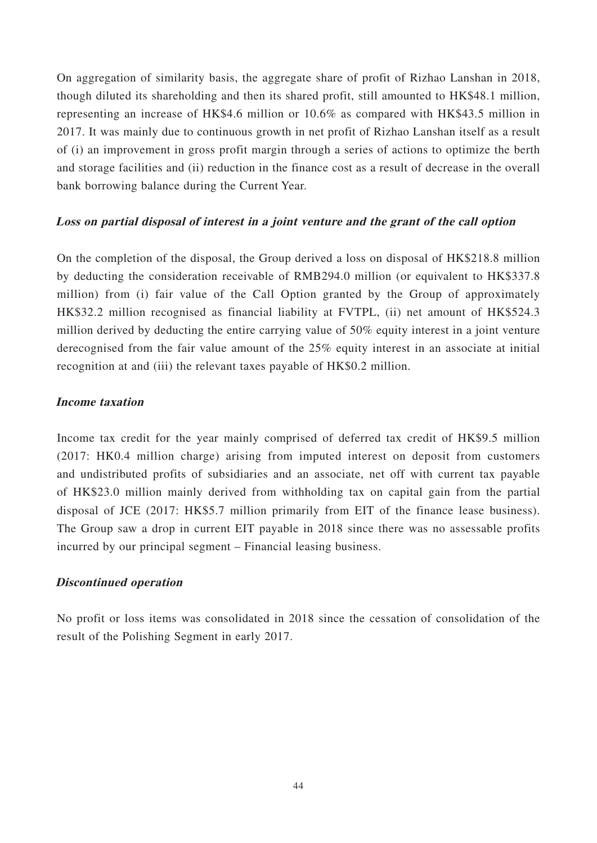On aggregation of similarity basis, the aggregate share of profit of Rizhao Lanshan in 2018, though diluted its shareholding and then its shared profit, still amounted to HK\$48.1 million, representing an increase of HK\$4.6 million or 10.6% as compared with HK\$43.5 million in 2017. It was mainly due to continuous growth in net profit of Rizhao Lanshan itself as a result of (i) an improvement in gross profit margin through a series of actions to optimize the berth and storage facilities and (ii) reduction in the finance cost as a result of decrease in the overall bank borrowing balance during the Current Year.

## **Loss on partial disposal of interest in a joint venture and the grant of the call option**

On the completion of the disposal, the Group derived a loss on disposal of HK\$218.8 million by deducting the consideration receivable of RMB294.0 million (or equivalent to HK\$337.8 million) from (i) fair value of the Call Option granted by the Group of approximately HK\$32.2 million recognised as financial liability at FVTPL, (ii) net amount of HK\$524.3 million derived by deducting the entire carrying value of 50% equity interest in a joint venture derecognised from the fair value amount of the 25% equity interest in an associate at initial recognition at and (iii) the relevant taxes payable of HK\$0.2 million.

## **Income taxation**

Income tax credit for the year mainly comprised of deferred tax credit of HK\$9.5 million (2017: HK0.4 million charge) arising from imputed interest on deposit from customers and undistributed profits of subsidiaries and an associate, net off with current tax payable of HK\$23.0 million mainly derived from withholding tax on capital gain from the partial disposal of JCE (2017: HK\$5.7 million primarily from EIT of the finance lease business). The Group saw a drop in current EIT payable in 2018 since there was no assessable profits incurred by our principal segment – Financial leasing business.

## **Discontinued operation**

No profit or loss items was consolidated in 2018 since the cessation of consolidation of the result of the Polishing Segment in early 2017.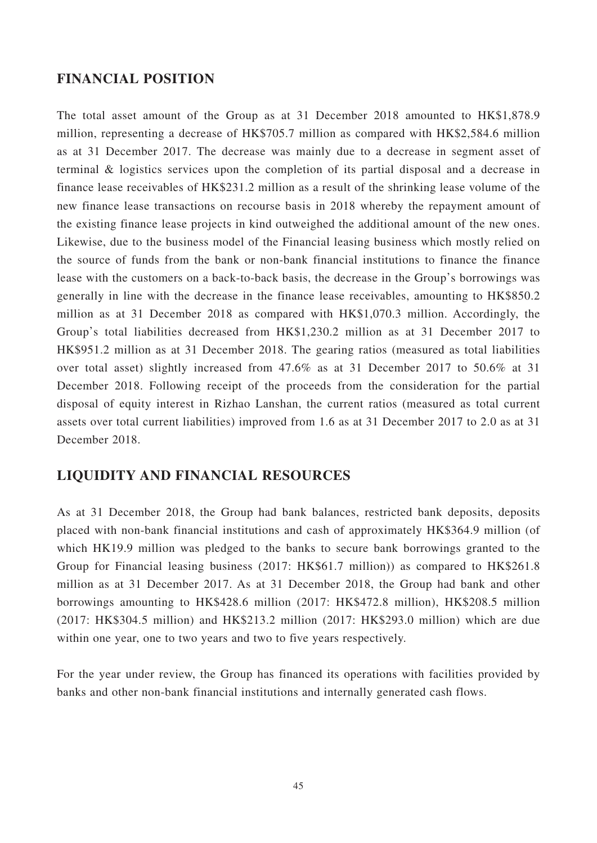## **FINANCIAL POSITION**

The total asset amount of the Group as at 31 December 2018 amounted to HK\$1,878.9 million, representing a decrease of HK\$705.7 million as compared with HK\$2,584.6 million as at 31 December 2017. The decrease was mainly due to a decrease in segment asset of terminal & logistics services upon the completion of its partial disposal and a decrease in finance lease receivables of HK\$231.2 million as a result of the shrinking lease volume of the new finance lease transactions on recourse basis in 2018 whereby the repayment amount of the existing finance lease projects in kind outweighed the additional amount of the new ones. Likewise, due to the business model of the Financial leasing business which mostly relied on the source of funds from the bank or non-bank financial institutions to finance the finance lease with the customers on a back-to-back basis, the decrease in the Group's borrowings was generally in line with the decrease in the finance lease receivables, amounting to HK\$850.2 million as at 31 December 2018 as compared with HK\$1,070.3 million. Accordingly, the Group's total liabilities decreased from HK\$1,230.2 million as at 31 December 2017 to HK\$951.2 million as at 31 December 2018. The gearing ratios (measured as total liabilities over total asset) slightly increased from 47.6% as at 31 December 2017 to 50.6% at 31 December 2018. Following receipt of the proceeds from the consideration for the partial disposal of equity interest in Rizhao Lanshan, the current ratios (measured as total current assets over total current liabilities) improved from 1.6 as at 31 December 2017 to 2.0 as at 31 December 2018.

# **LIQUIDITY AND FINANCIAL RESOURCES**

As at 31 December 2018, the Group had bank balances, restricted bank deposits, deposits placed with non-bank financial institutions and cash of approximately HK\$364.9 million (of which HK19.9 million was pledged to the banks to secure bank borrowings granted to the Group for Financial leasing business (2017: HK\$61.7 million)) as compared to HK\$261.8 million as at 31 December 2017. As at 31 December 2018, the Group had bank and other borrowings amounting to HK\$428.6 million (2017: HK\$472.8 million), HK\$208.5 million (2017: HK\$304.5 million) and HK\$213.2 million (2017: HK\$293.0 million) which are due within one year, one to two years and two to five years respectively.

For the year under review, the Group has financed its operations with facilities provided by banks and other non-bank financial institutions and internally generated cash flows.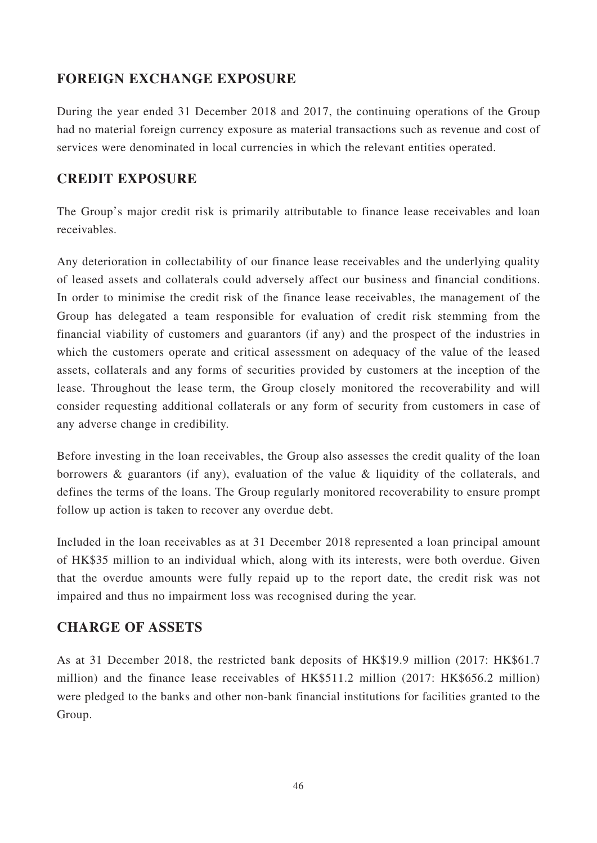# **FOREIGN EXCHANGE EXPOSURE**

During the year ended 31 December 2018 and 2017, the continuing operations of the Group had no material foreign currency exposure as material transactions such as revenue and cost of services were denominated in local currencies in which the relevant entities operated.

# **CREDIT EXPOSURE**

The Group's major credit risk is primarily attributable to finance lease receivables and loan receivables.

Any deterioration in collectability of our finance lease receivables and the underlying quality of leased assets and collaterals could adversely affect our business and financial conditions. In order to minimise the credit risk of the finance lease receivables, the management of the Group has delegated a team responsible for evaluation of credit risk stemming from the financial viability of customers and guarantors (if any) and the prospect of the industries in which the customers operate and critical assessment on adequacy of the value of the leased assets, collaterals and any forms of securities provided by customers at the inception of the lease. Throughout the lease term, the Group closely monitored the recoverability and will consider requesting additional collaterals or any form of security from customers in case of any adverse change in credibility.

Before investing in the loan receivables, the Group also assesses the credit quality of the loan borrowers & guarantors (if any), evaluation of the value & liquidity of the collaterals, and defines the terms of the loans. The Group regularly monitored recoverability to ensure prompt follow up action is taken to recover any overdue debt.

Included in the loan receivables as at 31 December 2018 represented a loan principal amount of HK\$35 million to an individual which, along with its interests, were both overdue. Given that the overdue amounts were fully repaid up to the report date, the credit risk was not impaired and thus no impairment loss was recognised during the year.

# **CHARGE OF ASSETS**

As at 31 December 2018, the restricted bank deposits of HK\$19.9 million (2017: HK\$61.7 million) and the finance lease receivables of HK\$511.2 million (2017: HK\$656.2 million) were pledged to the banks and other non-bank financial institutions for facilities granted to the Group.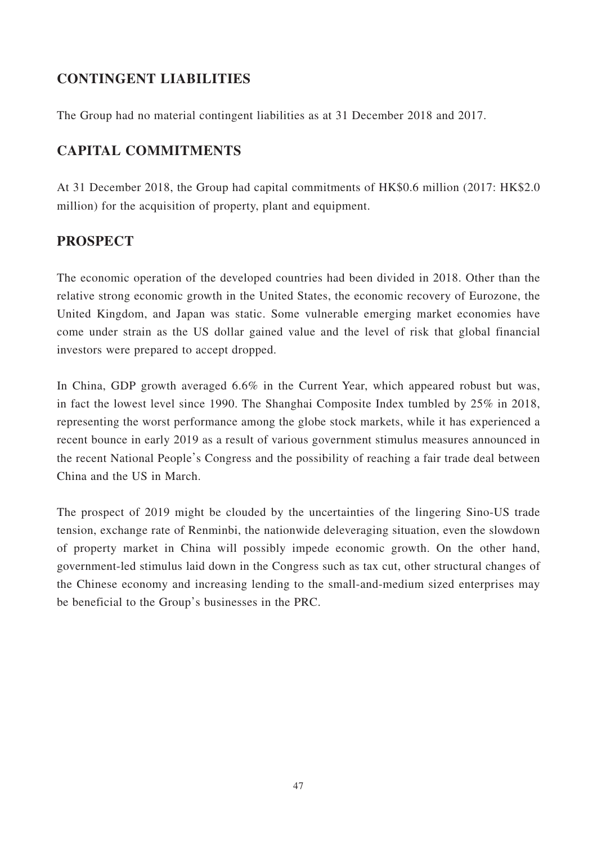# **CONTINGENT LIABILITIES**

The Group had no material contingent liabilities as at 31 December 2018 and 2017.

# **CAPITAL COMMITMENTS**

At 31 December 2018, the Group had capital commitments of HK\$0.6 million (2017: HK\$2.0 million) for the acquisition of property, plant and equipment.

# **PROSPECT**

The economic operation of the developed countries had been divided in 2018. Other than the relative strong economic growth in the United States, the economic recovery of Eurozone, the United Kingdom, and Japan was static. Some vulnerable emerging market economies have come under strain as the US dollar gained value and the level of risk that global financial investors were prepared to accept dropped.

In China, GDP growth averaged 6.6% in the Current Year, which appeared robust but was, in fact the lowest level since 1990. The Shanghai Composite Index tumbled by 25% in 2018, representing the worst performance among the globe stock markets, while it has experienced a recent bounce in early 2019 as a result of various government stimulus measures announced in the recent National People's Congress and the possibility of reaching a fair trade deal between China and the US in March.

The prospect of 2019 might be clouded by the uncertainties of the lingering Sino-US trade tension, exchange rate of Renminbi, the nationwide deleveraging situation, even the slowdown of property market in China will possibly impede economic growth. On the other hand, government-led stimulus laid down in the Congress such as tax cut, other structural changes of the Chinese economy and increasing lending to the small-and-medium sized enterprises may be beneficial to the Group's businesses in the PRC.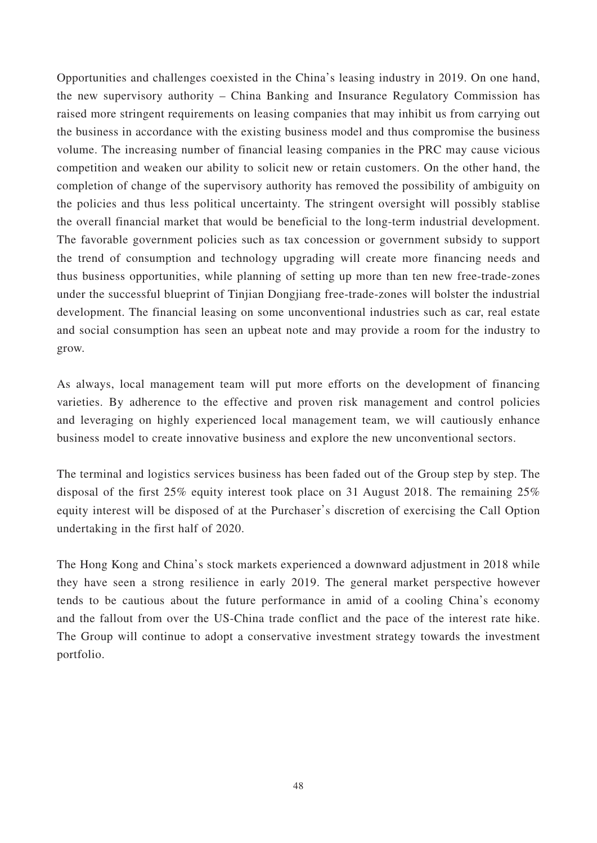Opportunities and challenges coexisted in the China's leasing industry in 2019. On one hand, the new supervisory authority – China Banking and Insurance Regulatory Commission has raised more stringent requirements on leasing companies that may inhibit us from carrying out the business in accordance with the existing business model and thus compromise the business volume. The increasing number of financial leasing companies in the PRC may cause vicious competition and weaken our ability to solicit new or retain customers. On the other hand, the completion of change of the supervisory authority has removed the possibility of ambiguity on the policies and thus less political uncertainty. The stringent oversight will possibly stablise the overall financial market that would be beneficial to the long-term industrial development. The favorable government policies such as tax concession or government subsidy to support the trend of consumption and technology upgrading will create more financing needs and thus business opportunities, while planning of setting up more than ten new free-trade-zones under the successful blueprint of Tinjian Dongjiang free-trade-zones will bolster the industrial development. The financial leasing on some unconventional industries such as car, real estate and social consumption has seen an upbeat note and may provide a room for the industry to grow.

As always, local management team will put more efforts on the development of financing varieties. By adherence to the effective and proven risk management and control policies and leveraging on highly experienced local management team, we will cautiously enhance business model to create innovative business and explore the new unconventional sectors.

The terminal and logistics services business has been faded out of the Group step by step. The disposal of the first 25% equity interest took place on 31 August 2018. The remaining 25% equity interest will be disposed of at the Purchaser's discretion of exercising the Call Option undertaking in the first half of 2020.

The Hong Kong and China's stock markets experienced a downward adjustment in 2018 while they have seen a strong resilience in early 2019. The general market perspective however tends to be cautious about the future performance in amid of a cooling China's economy and the fallout from over the US-China trade conflict and the pace of the interest rate hike. The Group will continue to adopt a conservative investment strategy towards the investment portfolio.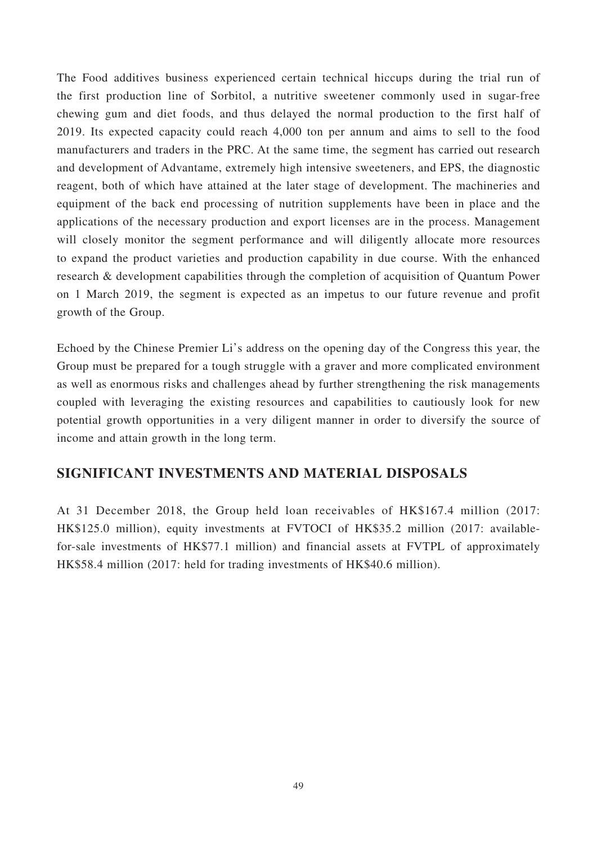The Food additives business experienced certain technical hiccups during the trial run of the first production line of Sorbitol, a nutritive sweetener commonly used in sugar-free chewing gum and diet foods, and thus delayed the normal production to the first half of 2019. Its expected capacity could reach 4,000 ton per annum and aims to sell to the food manufacturers and traders in the PRC. At the same time, the segment has carried out research and development of Advantame, extremely high intensive sweeteners, and EPS, the diagnostic reagent, both of which have attained at the later stage of development. The machineries and equipment of the back end processing of nutrition supplements have been in place and the applications of the necessary production and export licenses are in the process. Management will closely monitor the segment performance and will diligently allocate more resources to expand the product varieties and production capability in due course. With the enhanced research & development capabilities through the completion of acquisition of Quantum Power on 1 March 2019, the segment is expected as an impetus to our future revenue and profit growth of the Group.

Echoed by the Chinese Premier Li's address on the opening day of the Congress this year, the Group must be prepared for a tough struggle with a graver and more complicated environment as well as enormous risks and challenges ahead by further strengthening the risk managements coupled with leveraging the existing resources and capabilities to cautiously look for new potential growth opportunities in a very diligent manner in order to diversify the source of income and attain growth in the long term.

# **SIGNIFICANT INVESTMENTS AND MATERIAL DISPOSALS**

At 31 December 2018, the Group held loan receivables of HK\$167.4 million (2017: HK\$125.0 million), equity investments at FVTOCI of HK\$35.2 million (2017: availablefor-sale investments of HK\$77.1 million) and financial assets at FVTPL of approximately HK\$58.4 million (2017: held for trading investments of HK\$40.6 million).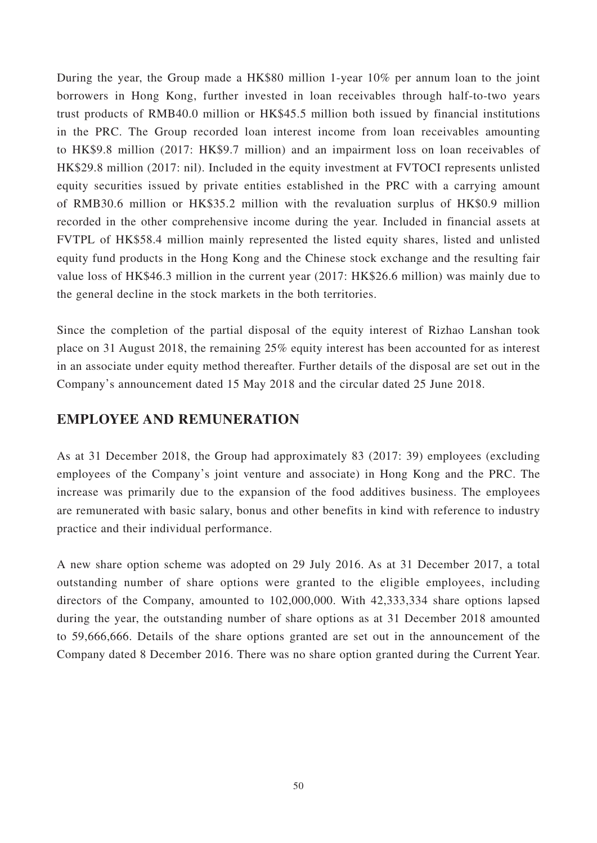During the year, the Group made a HK\$80 million 1-year 10% per annum loan to the joint borrowers in Hong Kong, further invested in loan receivables through half-to-two years trust products of RMB40.0 million or HK\$45.5 million both issued by financial institutions in the PRC. The Group recorded loan interest income from loan receivables amounting to HK\$9.8 million (2017: HK\$9.7 million) and an impairment loss on loan receivables of HK\$29.8 million (2017: nil). Included in the equity investment at FVTOCI represents unlisted equity securities issued by private entities established in the PRC with a carrying amount of RMB30.6 million or HK\$35.2 million with the revaluation surplus of HK\$0.9 million recorded in the other comprehensive income during the year. Included in financial assets at FVTPL of HK\$58.4 million mainly represented the listed equity shares, listed and unlisted equity fund products in the Hong Kong and the Chinese stock exchange and the resulting fair value loss of HK\$46.3 million in the current year (2017: HK\$26.6 million) was mainly due to the general decline in the stock markets in the both territories.

Since the completion of the partial disposal of the equity interest of Rizhao Lanshan took place on 31 August 2018, the remaining 25% equity interest has been accounted for as interest in an associate under equity method thereafter. Further details of the disposal are set out in the Company's announcement dated 15 May 2018 and the circular dated 25 June 2018.

## **EMPLOYEE AND REMUNERATION**

As at 31 December 2018, the Group had approximately 83 (2017: 39) employees (excluding employees of the Company's joint venture and associate) in Hong Kong and the PRC. The increase was primarily due to the expansion of the food additives business. The employees are remunerated with basic salary, bonus and other benefits in kind with reference to industry practice and their individual performance.

A new share option scheme was adopted on 29 July 2016. As at 31 December 2017, a total outstanding number of share options were granted to the eligible employees, including directors of the Company, amounted to 102,000,000. With 42,333,334 share options lapsed during the year, the outstanding number of share options as at 31 December 2018 amounted to 59,666,666. Details of the share options granted are set out in the announcement of the Company dated 8 December 2016. There was no share option granted during the Current Year.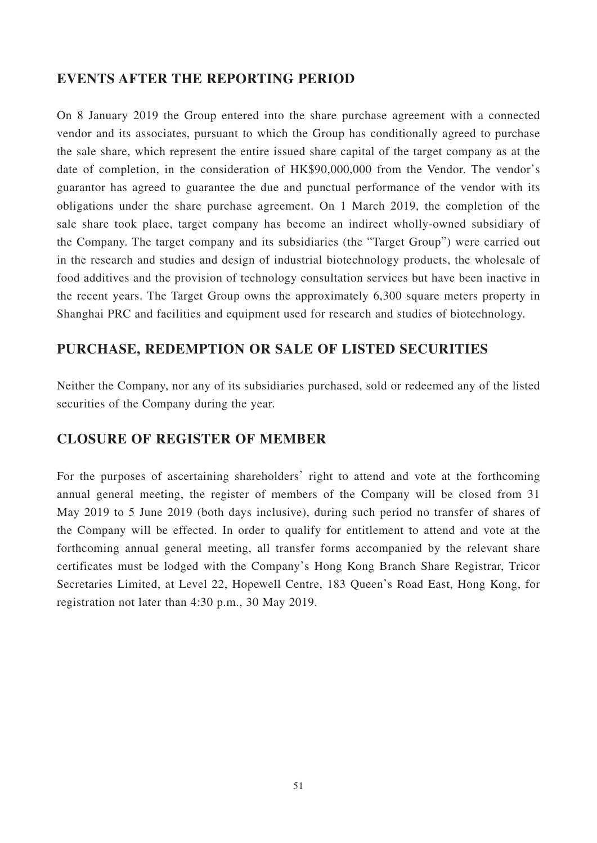# **EVENTS AFTER THE REPORTING PERIOD**

On 8 January 2019 the Group entered into the share purchase agreement with a connected vendor and its associates, pursuant to which the Group has conditionally agreed to purchase the sale share, which represent the entire issued share capital of the target company as at the date of completion, in the consideration of HK\$90,000,000 from the Vendor. The vendor's guarantor has agreed to guarantee the due and punctual performance of the vendor with its obligations under the share purchase agreement. On 1 March 2019, the completion of the sale share took place, target company has become an indirect wholly-owned subsidiary of the Company. The target company and its subsidiaries (the "Target Group") were carried out in the research and studies and design of industrial biotechnology products, the wholesale of food additives and the provision of technology consultation services but have been inactive in the recent years. The Target Group owns the approximately 6,300 square meters property in Shanghai PRC and facilities and equipment used for research and studies of biotechnology.

# **PURCHASE, REDEMPTION OR SALE OF LISTED SECURITIES**

Neither the Company, nor any of its subsidiaries purchased, sold or redeemed any of the listed securities of the Company during the year.

# **CLOSURE OF REGISTER OF MEMBER**

For the purposes of ascertaining shareholders' right to attend and vote at the forthcoming annual general meeting, the register of members of the Company will be closed from 31 May 2019 to 5 June 2019 (both days inclusive), during such period no transfer of shares of the Company will be effected. In order to qualify for entitlement to attend and vote at the forthcoming annual general meeting, all transfer forms accompanied by the relevant share certificates must be lodged with the Company's Hong Kong Branch Share Registrar, Tricor Secretaries Limited, at Level 22, Hopewell Centre, 183 Queen's Road East, Hong Kong, for registration not later than 4:30 p.m., 30 May 2019.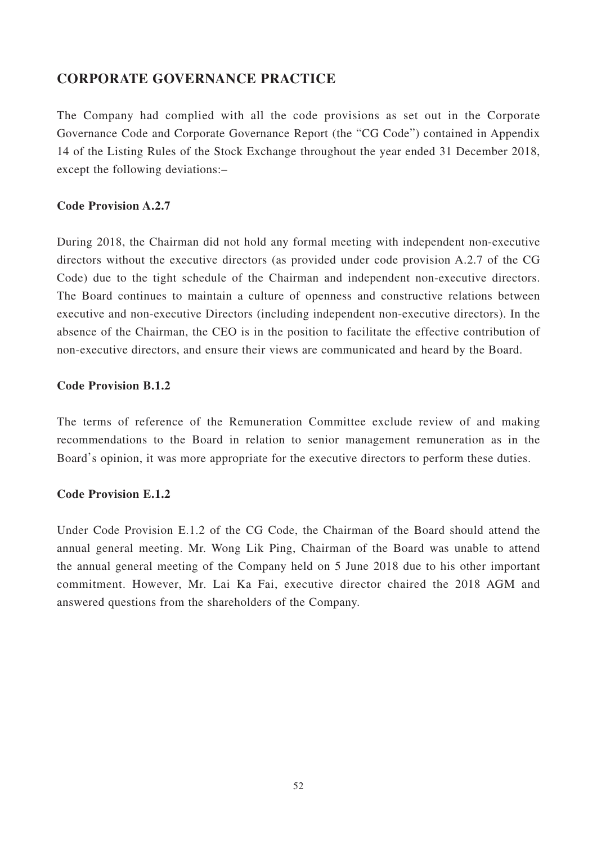# **CORPORATE GOVERNANCE PRACTICE**

The Company had complied with all the code provisions as set out in the Corporate Governance Code and Corporate Governance Report (the "CG Code") contained in Appendix 14 of the Listing Rules of the Stock Exchange throughout the year ended 31 December 2018, except the following deviations:–

## **Code Provision A.2.7**

During 2018, the Chairman did not hold any formal meeting with independent non-executive directors without the executive directors (as provided under code provision A.2.7 of the CG Code) due to the tight schedule of the Chairman and independent non-executive directors. The Board continues to maintain a culture of openness and constructive relations between executive and non-executive Directors (including independent non-executive directors). In the absence of the Chairman, the CEO is in the position to facilitate the effective contribution of non-executive directors, and ensure their views are communicated and heard by the Board.

## **Code Provision B.1.2**

The terms of reference of the Remuneration Committee exclude review of and making recommendations to the Board in relation to senior management remuneration as in the Board's opinion, it was more appropriate for the executive directors to perform these duties.

## **Code Provision E.1.2**

Under Code Provision E.1.2 of the CG Code, the Chairman of the Board should attend the annual general meeting. Mr. Wong Lik Ping, Chairman of the Board was unable to attend the annual general meeting of the Company held on 5 June 2018 due to his other important commitment. However, Mr. Lai Ka Fai, executive director chaired the 2018 AGM and answered questions from the shareholders of the Company.